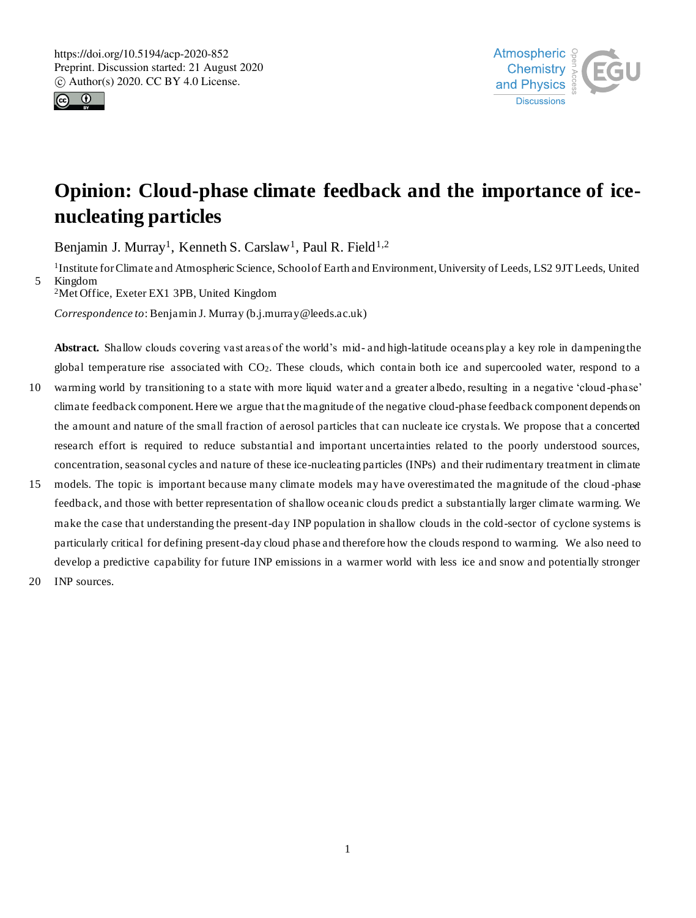



# **Opinion: Cloud-phase climate feedback and the importance of icenucleating particles**

Benjamin J. Murray<sup>1</sup>, Kenneth S. Carslaw<sup>1</sup>, Paul R. Field<sup>1,2</sup>

<sup>1</sup>Institute for Climate and Atmospheric Science, School of Earth and Environment, University of Leeds, LS2 9JT Leeds, United 5 Kingdom <sup>2</sup>Met Office, Exeter EX1 3PB, United Kingdom

*Correspondence to*: Benjamin J. Murray (b.j.murray@leeds.ac.uk)

**Abstract.** Shallow clouds covering vast areas of the world's mid- and high-latitude oceans play a key role in dampening the global temperature rise associated with  $CO<sub>2</sub>$ . These clouds, which contain both ice and supercooled water, respond to a

- 10 warming world by transitioning to a state with more liquid water and a greater albedo, resulting in a negative 'cloud -phase' climate feedback component. Here we argue that the magnitude of the negative cloud-phase feedback component depends on the amount and nature of the small fraction of aerosol particles that can nucleate ice crystals. We propose that a concerted research effort is required to reduce substantial and important uncertainties related to the poorly understood sources, concentration, seasonal cycles and nature of these ice-nucleating particles (INPs) and their rudimentary treatment in climate
- 15 models. The topic is important because many climate models may have overestimated the magnitude of the cloud -phase feedback, and those with better representation of shallow oceanic clouds predict a substantially larger climate warming. We make the case that understanding the present-day INP population in shallow clouds in the cold-sector of cyclone systems is particularly critical for defining present-day cloud phase and therefore how the clouds respond to warming. We also need to develop a predictive capability for future INP emissions in a warmer world with less ice and snow and potentially stronger
- 20 INP sources.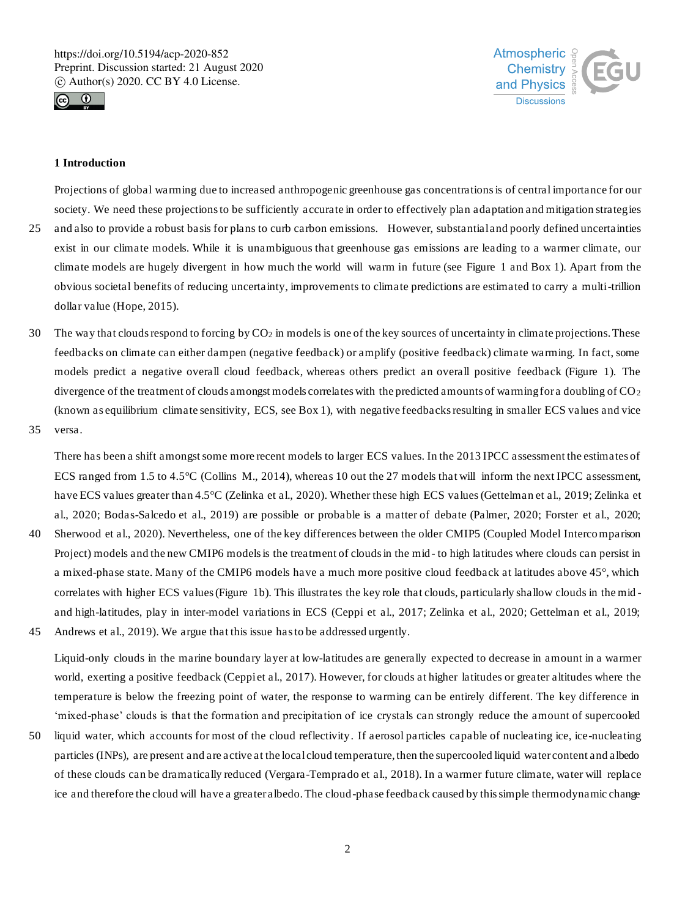



# **1 Introduction**

Projections of global warming due to increased anthropogenic greenhouse gas concentrations is of central importance for our society. We need these projections to be sufficiently accurate in order to effectively plan adaptation and mitigation strategies 25 and also to provide a robust basis for plans to curb carbon emissions. However, substantial and poorly defined uncertainties exist in our climate models. While it is unambiguous that greenhouse gas emissions are leading to a warmer climate, our climate models are hugely divergent in how much the world will warm in future (see Figure 1 and Box 1). Apart from the obvious societal benefits of reducing uncertainty, improvements to climate predictions are estimated to carry a multi-trillion dollar value (Hope, 2015).

- 30 The way that clouds respond to forcing by  $CO<sub>2</sub>$  in models is one of the key sources of uncertainty in climate projections. These feedbacks on climate can either dampen (negative feedback) or amplify (positive feedback) climate warming. In fact, some models predict a negative overall cloud feedback, whereas others predict an overall positive feedback (Figure 1). The divergence of the treatment of clouds amongst models correlates with the predicted amounts of warming for a doubling of  $CO<sub>2</sub>$ (known as equilibrium climate sensitivity, ECS, see Box 1), with negative feedbacks resulting in smaller ECS values and vice
- 35 versa.

There has been a shift amongst some more recent models to larger ECS values. In the 2013 IPCC assessment the estimates of ECS ranged from 1.5 to 4.5°C (Collins M., 2014), whereas 10 out the 27 models that will inform the next IPCC assessment, have ECS values greater than 4.5°C (Zelinka et al., 2020). Whether these high ECS values (Gettelman et al., 2019; Zelinka et al., 2020; Bodas-Salcedo et al., 2019) are possible or probable is a matter of debate (Palmer, 2020; Forster et al., 2020;

- 40 Sherwood et al., 2020). Nevertheless, one of the key differences between the older CMIP5 (Coupled Model Intercomparison Project) models and the new CMIP6 models is the treatment of clouds in the mid- to high latitudes where clouds can persist in a mixed-phase state. Many of the CMIP6 models have a much more positive cloud feedback at latitudes above 45°, which correlates with higher ECS values (Figure 1b). This illustrates the key role that clouds, particularly shallow clouds in the mid and high-latitudes, play in inter-model variations in ECS (Ceppi et al., 2017; Zelinka et al., 2020; Gettelman et al., 2019;
- 45 Andrews et al., 2019). We argue that this issue has to be addressed urgently.

Liquid-only clouds in the marine boundary layer at low-latitudes are generally expected to decrease in amount in a warmer world, exerting a positive feedback (Ceppiet al., 2017). However, for clouds at higher latitudes or greater altitudes where the temperature is below the freezing point of water, the response to warming can be entirely different. The key difference in 'mixed-phase' clouds is that the formation and precipitation of ice crystals can strongly reduce the amount of supercooled

50 liquid water, which accounts for most of the cloud reflectivity. If aerosol particles capable of nucleating ice, ice-nucleating particles (INPs), are present and are active at the local cloud temperature, then the supercooled liquid water content and albedo of these clouds can be dramatically reduced (Vergara-Temprado et al., 2018). In a warmer future climate, water will replace ice and therefore the cloud will have a greater albedo. The cloud-phase feedback caused by this simple thermodynamic change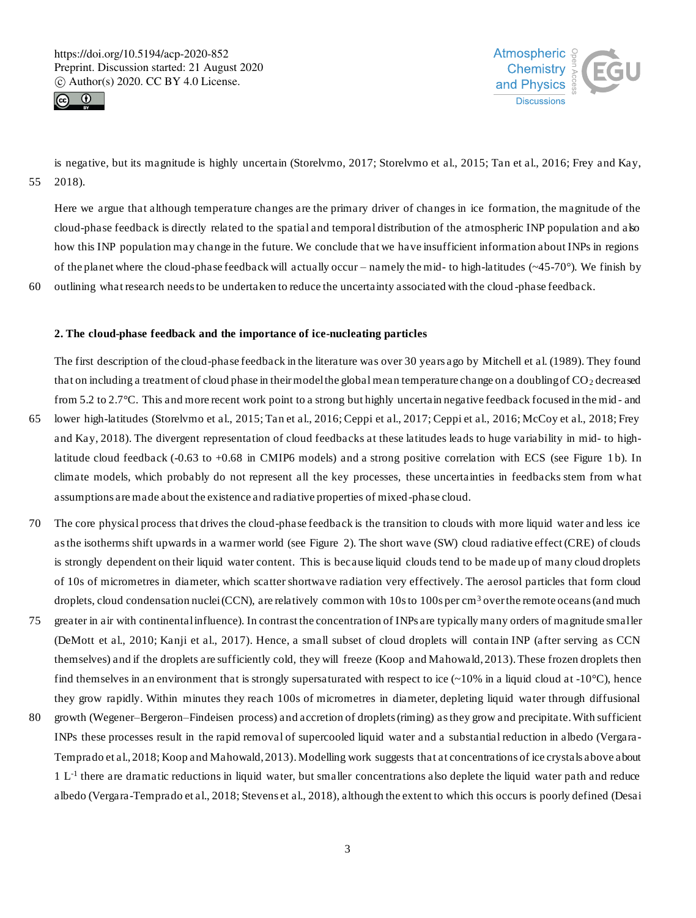



is negative, but its magnitude is highly uncertain (Storelvmo, 2017; Storelvmo et al., 2015; Tan et al., 2016; Frey and Kay, 55 2018).

Here we argue that although temperature changes are the primary driver of changes in ice formation, the magnitude of the cloud-phase feedback is directly related to the spatial and temporal distribution of the atmospheric INP population and also how this INP population may change in the future. We conclude that we have insufficient information about INPs in regions of the planet where the cloud-phase feedback will actually occur – namely the mid- to high-latitudes ( $\sim$ 45-70°). We finish by 60 outlining what research needs to be undertaken to reduce the uncertainty associated with the cloud -phase feedback.

## **2. The cloud-phase feedback and the importance of ice-nucleating particles**

The first description of the cloud-phase feedback in the literature was over 30 years ago by Mitchell et al. (1989). They found that on including a treatment of cloud phase in their model the global mean temperature change on a doubling of  $CO<sub>2</sub>$  decreased from 5.2 to 2.7°C. This and more recent work point to a strong but highly uncertain negative feedback focused in the mid - and

- 65 lower high-latitudes (Storelvmo et al., 2015; Tan et al., 2016; Ceppi et al., 2017; Ceppi et al., 2016; McCoy et al., 2018; Frey and Kay, 2018). The divergent representation of cloud feedbacks at these latitudes leads to huge variability in mid- to highlatitude cloud feedback (-0.63 to +0.68 in CMIP6 models) and a strong positive correlation with ECS (see Figure 1b). In climate models, which probably do not represent all the key processes, these uncertainties in feedbacks stem from what assumptions are made about the existence and radiative properties of mixed-phase cloud.
- 70 The core physical process that drives the cloud-phase feedback is the transition to clouds with more liquid water and less ice as the isotherms shift upwards in a warmer world (see Figure 2). The short wave (SW) cloud radiative effect (CRE) of clouds is strongly dependent on their liquid water content. This is because liquid clouds tend to be made up of many cloud droplets of 10s of micrometres in diameter, which scatter shortwave radiation very effectively. The aerosol particles that form cloud droplets, cloud condensation nuclei (CCN), are relatively common with 10s to 100s per cm<sup>3</sup> over the remote oceans (and much
- 75 greater in air with continental influence). In contrast the concentration of INPs are typically many orders of magnitude smaller (DeMott et al., 2010; Kanji et al., 2017). Hence, a small subset of cloud droplets will contain INP (after serving as CCN themselves) and if the droplets are sufficiently cold, they will freeze (Koop and Mahowald, 2013). These frozen droplets then find themselves in an environment that is strongly supersaturated with respect to ice  $(-10\%$  in a liquid cloud at  $-10\degree C$ ), hence they grow rapidly. Within minutes they reach 100s of micrometres in diameter, depleting liquid water through diffusional
- 80 growth (Wegener–Bergeron–Findeisen process) and accretion of droplets (riming) as they grow and precipitate. With sufficient INPs these processes result in the rapid removal of supercooled liquid water and a substantial reduction in albedo (Vergara-Temprado et al., 2018; Koop and Mahowald, 2013). Modelling work suggests that at concentrations of ice crystals above about  $1 L<sup>-1</sup>$  there are dramatic reductions in liquid water, but smaller concentrations also deplete the liquid water path and reduce albedo (Vergara-Temprado et al., 2018; Stevens et al., 2018), although the extent to which this occurs is poorly defined (Desai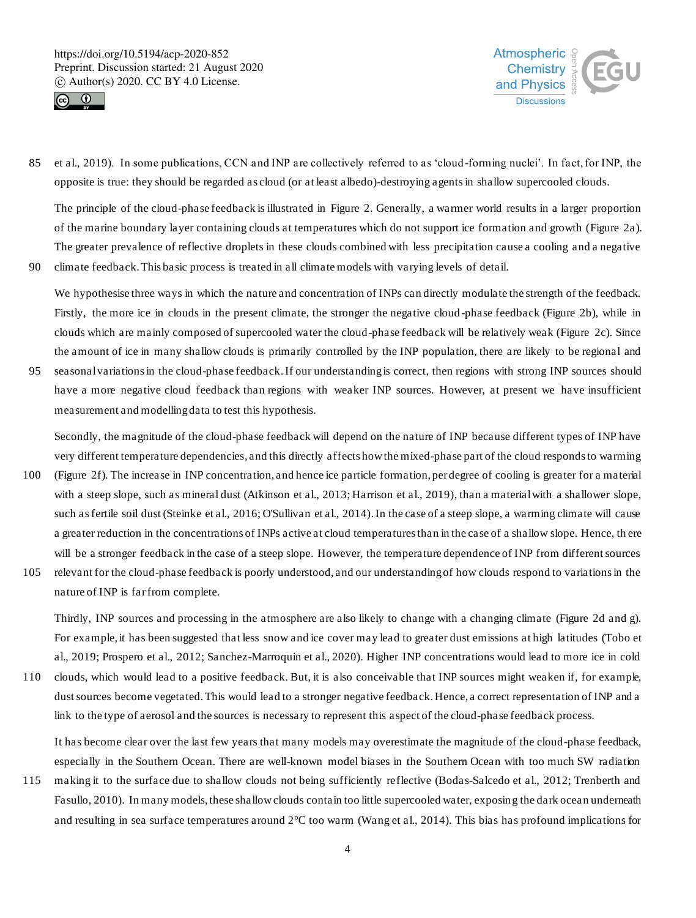



85 et al., 2019). In some publications, CCN and INP are collectively referred to as 'cloud-forming nuclei'. In fact, for INP, the opposite is true: they should be regarded as cloud (or at least albedo)-destroying agentsin shallow supercooled clouds.

The principle of the cloud-phase feedback is illustrated in Figure 2. Generally, a warmer world results in a larger proportion of the marine boundary layer containing clouds at temperatures which do not support ice formation and growth (Figure 2a). The greater prevalence of reflective droplets in these clouds combined with less precipitation cause a cooling and a negative 90 climate feedback. This basic process is treated in all climate models with varying levels of detail.

We hypothesise three ways in which the nature and concentration of INPs can directly modulate the strength of the feedback. Firstly, the more ice in clouds in the present climate, the stronger the negative cloud -phase feedback (Figure 2b), while in clouds which are mainly composed of supercooled water the cloud-phase feedback will be relatively weak (Figure 2c). Since the amount of ice in many shallow clouds is primarily controlled by the INP population, there are likely to be regional and

95 seasonal variations in the cloud-phase feedback. If our understanding is correct, then regions with strong INP sources should have a more negative cloud feedback than regions with weaker INP sources. However, at present we have insufficient measurement and modelling data to test this hypothesis.

Secondly, the magnitude of the cloud-phase feedback will depend on the nature of INP because different types of INP have very different temperature dependencies, and this directly affects how the mixed-phase part of the cloud responds to warming

- 100 (Figure 2f). The increase in INP concentration, and hence ice particle formation, per degree of cooling is greater for a material with a steep slope, such as mineral dust (Atkinson et al., 2013; Harrison et al., 2019), than a material with a shallower slope, such as fertile soil dust (Steinke et al., 2016; O'Sullivan et al., 2014). In the case of a steep slope, a warming climate will cause a greater reduction in the concentrations of INPs active at cloud temperatures than in the case of a shallow slope. Hence, th ere will be a stronger feedback in the case of a steep slope. However, the temperature dependence of INP from different sources
- 105 relevant for the cloud-phase feedback is poorly understood, and our understanding of how clouds respond to variations in the nature of INP is far from complete.

Thirdly, INP sources and processing in the atmosphere are also likely to change with a changing climate (Figure 2d and g). For example, it has been suggested that less snow and ice cover may lead to greater dust emissions at high latitudes (Tobo et al., 2019; Prospero et al., 2012; Sanchez-Marroquin et al., 2020). Higher INP concentrations would lead to more ice in cold

110 clouds, which would lead to a positive feedback. But, it is also conceivable that INP sources might weaken if, for example, dust sources become vegetated. This would lead to a stronger negative feedback. Hence, a correct representation of INP and a link to the type of aerosol and the sources is necessary to represent this aspect of the cloud-phase feedback process.

It has become clear over the last few years that many models may overestimate the magnitude of the cloud-phase feedback, especially in the Southern Ocean. There are well-known model biases in the Southern Ocean with too much SW radiation

115 making it to the surface due to shallow clouds not being sufficiently reflective (Bodas-Salcedo et al., 2012; Trenberth and Fasullo, 2010). In many models, these shallow clouds contain too little supercooled water, exposin g the dark ocean underneath and resulting in sea surface temperatures around 2°C too warm (Wang et al., 2014). This bias has profound implications for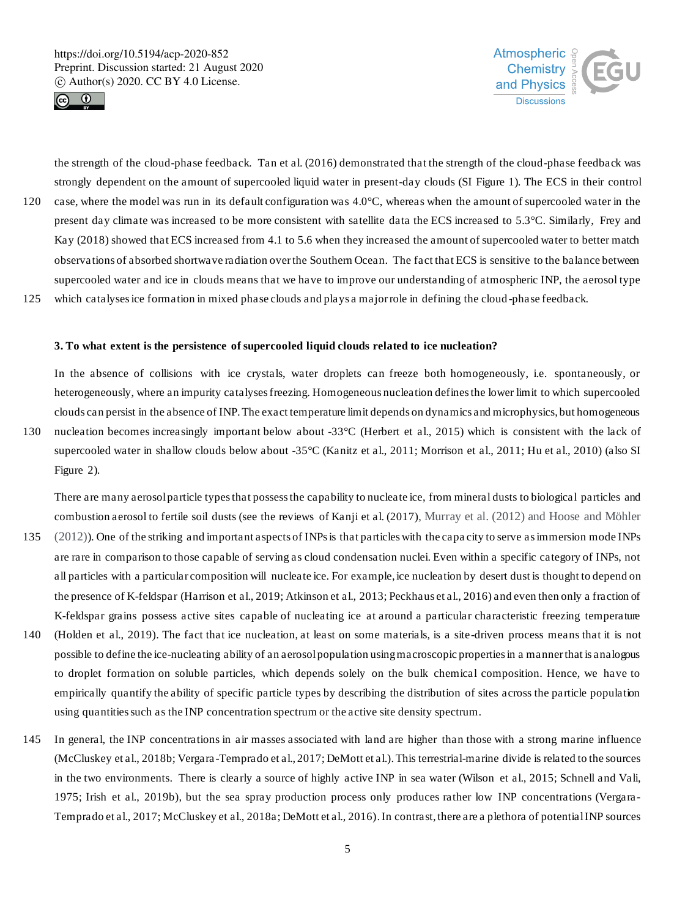



the strength of the cloud-phase feedback. Tan et al. (2016) demonstrated that the strength of the cloud-phase feedback was strongly dependent on the amount of supercooled liquid water in present-day clouds (SI Figure 1). The ECS in their control 120 case, where the model was run in its default configuration was 4.0°C, whereas when the amount of supercooled water in the present day climate was increased to be more consistent with satellite data the ECS increased to 5.3°C. Similarly, Frey and Kay (2018) showed that ECS increased from 4.1 to 5.6 when they increased the amount of supercooled water to better match observations of absorbed shortwave radiation over the Southern Ocean. The fact that ECS is sensitive to the balance between supercooled water and ice in clouds means that we have to improve our understanding of atmospheric INP, the aerosol type

125 which catalyses ice formation in mixed phase clouds and plays a major role in defining the cloud -phase feedback.

## **3. To what extent is the persistence of supercooled liquid clouds related to ice nucleation?**

In the absence of collisions with ice crystals, water droplets can freeze both homogeneously, i.e. spontaneously, or heterogeneously, where an impurity catalyses freezing. Homogeneous nucleation defines the lower limit to which supercooled clouds can persist in the absence of INP. The exact temperature limit depends on dynamics and microphysics, but homogeneous

130 nucleation becomes increasingly important below about -33°C (Herbert et al., 2015) which is consistent with the lack of supercooled water in shallow clouds below about -35°C (Kanitz et al., 2011; Morrison et al., 2011; Hu et al., 2010) (also SI Figure 2).

There are many aerosol particle types that possess the capability to nucleate ice, from mineral dusts to biological particles and combustion aerosol to fertile soil dusts (see the reviews of Kanji et al. (2017), Murray et al. (2012) and Hoose and Möhler

- 135 (2012)). One of the striking and important aspects of INPs is that particles with the capa city to serve as immersion mode INPs are rare in comparison to those capable of serving as cloud condensation nuclei. Even within a specific category of INPs, not all particles with a particular composition will nucleate ice. For example, ice nucleation by desert dust is thought to depend on the presence of K-feldspar (Harrison et al., 2019; Atkinson et al., 2013; Peckhaus et al., 2016) and even then only a fraction of K-feldspar grains possess active sites capable of nucleating ice at around a particular characteristic freezing temperature
- 140 (Holden et al., 2019). The fact that ice nucleation, at least on some materials, is a site-driven process means that it is not possible to define the ice-nucleating ability of an aerosol population using macroscopic properties in a manner that is analogous to droplet formation on soluble particles, which depends solely on the bulk chemical composition. Hence, we have to empirically quantify the ability of specific particle types by describing the distribution of sites across the particle population using quantities such as the INP concentration spectrum or the active site density spectrum.
- 145 In general, the INP concentrations in air masses associated with land are higher than those with a strong marine influence (McCluskey et al., 2018b; Vergara -Temprado et al., 2017; DeMott et al.). This terrestrial-marine divide is related to the sources in the two environments. There is clearly a source of highly active INP in sea water (Wilson et al., 2015; Schnell and Vali, 1975; Irish et al., 2019b), but the sea spray production process only produces rather low INP concentrations (Vergara-Temprado et al., 2017; McCluskey et al., 2018a; DeMott et al., 2016). In contrast, there are a plethora of potential INP sources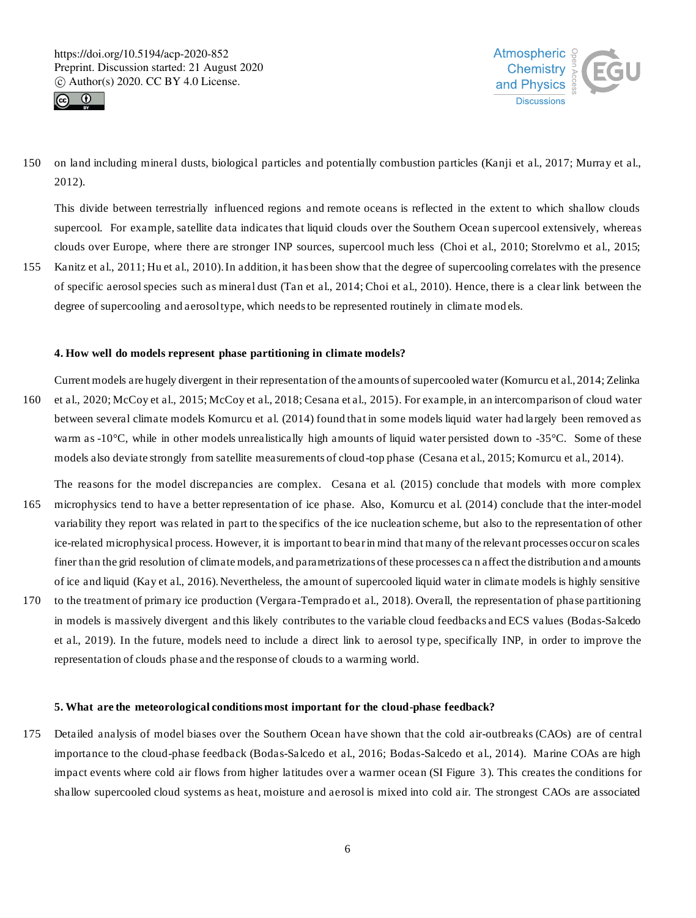



150 on land including mineral dusts, biological particles and potentially combustion particles (Kanji et al., 2017; Murray et al., 2012).

This divide between terrestrially influenced regions and remote oceans is reflected in the extent to which shallow clouds supercool. For example, satellite data indicates that liquid clouds over the Southern Ocean supercool extensively, whereas clouds over Europe, where there are stronger INP sources, supercool much less (Choi et al., 2010; Storelvmo et al., 2015;

155 Kanitz et al., 2011; Hu et al., 2010). In addition, it has been show that the degree of supercooling correlates with the presence of specific aerosol species such as mineral dust (Tan et al., 2014; Choi et al., 2010). Hence, there is a clear link between the degree of supercooling and aerosol type, which needs to be represented routinely in climate models.

# **4. How well do models represent phase partitioning in climate models?**

- Current models are hugely divergent in their representation of the amounts of supercooled water (Komurcu et al., 2014; Zelinka 160 et al., 2020; McCoy et al., 2015; McCoy et al., 2018; Cesana et al., 2015). For example, in an intercomparison of cloud water between several climate models Komurcu et al. (2014) found that in some models liquid water had largely been removed as warm as -10<sup>o</sup>C, while in other models unrealistically high amounts of liquid water persisted down to -35<sup>o</sup>C. Some of these models also deviate strongly from satellite measurements of cloud-top phase (Cesana et al., 2015; Komurcu et al., 2014).
- The reasons for the model discrepancies are complex. Cesana et al. (2015) conclude that models with more complex 165 microphysics tend to have a better representation of ice phase. Also, Komurcu et al. (2014) conclude that the inter-model variability they report was related in part to the specifics of the ice nucleation scheme, but also to the representation of other ice-related microphysical process. However, it is important to bear in mind that many of the relevant processes occur on scales finer than the grid resolution of climate models, and parametrizations of these processes ca n affect the distribution and amounts of ice and liquid (Kay et al., 2016). Nevertheless, the amount of supercooled liquid water in climate models is highly sensitive 170 to the treatment of primary ice production (Vergara-Temprado et al., 2018). Overall, the representation of phase partitioning
- in models is massively divergent and this likely contributes to the variable cloud feedbacks and ECS values (Bodas-Salcedo et al., 2019). In the future, models need to include a direct link to aerosol type, specifically INP, in order to improve the representation of clouds phase and the response of clouds to a warming world.

## **5. What are the meteorological conditions most important for the cloud-phase feedback?**

175 Detailed analysis of model biases over the Southern Ocean have shown that the cold air-outbreaks (CAOs) are of central importance to the cloud-phase feedback (Bodas-Salcedo et al., 2016; Bodas-Salcedo et al., 2014). Marine COAs are high impact events where cold air flows from higher latitudes over a warmer ocean (SI Figure 3 ). This creates the conditions for shallow supercooled cloud systems as heat, moisture and aerosol is mixed into cold air. The strongest CAOs are associated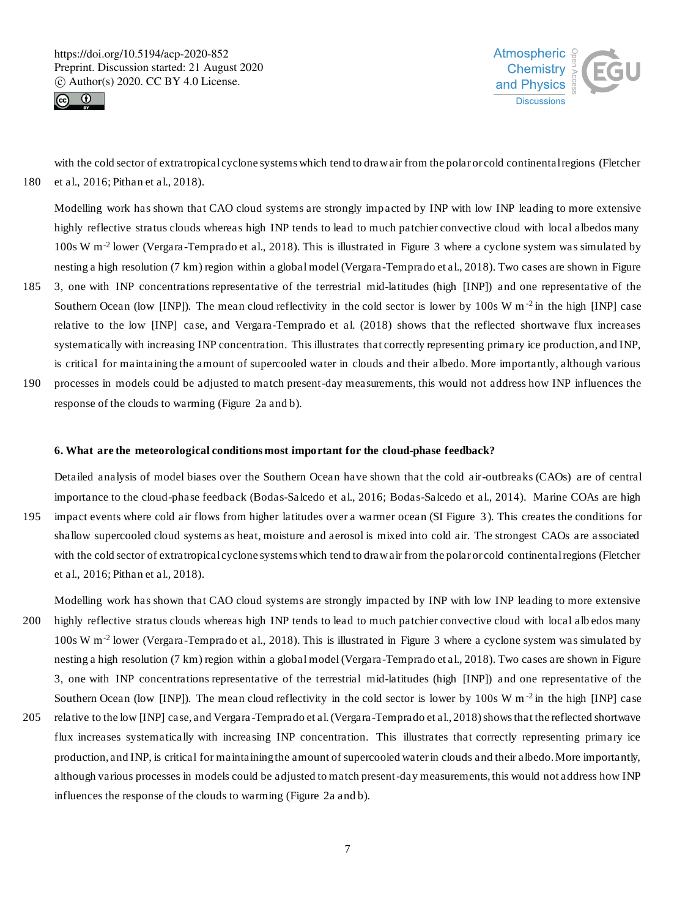



with the cold sector of extratropical cyclone systems which tend to draw air from the polar or cold continental regions (Fletcher 180 et al., 2016; Pithan et al., 2018).

Modelling work has shown that CAO cloud systems are strongly impacted by INP with low INP leading to more extensive highly reflective stratus clouds whereas high INP tends to lead to much patchier convective cloud with local albedos many 100s W m-2 lower (Vergara-Temprado et al., 2018). This is illustrated in Figure 3 where a cyclone system was simulated by nesting a high resolution (7 km) region within a global model (Vergara-Temprado et al., 2018). Two cases are shown in Figure

- 185 3, one with INP concentrations representative of the terrestrial mid-latitudes (high [INP]) and one representative of the Southern Ocean (low [INP]). The mean cloud reflectivity in the cold sector is lower by  $100s$  W m<sup>-2</sup> in the high [INP] case relative to the low [INP] case, and Vergara-Temprado et al. (2018) shows that the reflected shortwave flux increases systematically with increasing INP concentration. This illustrates that correctly representing primary ice production, and INP, is critical for maintaining the amount of supercooled water in clouds and their albedo. More importantly, although various
- 190 processes in models could be adjusted to match present-day measurements, this would not address how INP influences the response of the clouds to warming (Figure 2a and b).

# **6. What are the meteorological conditions most important for the cloud-phase feedback?**

Detailed analysis of model biases over the Southern Ocean have shown that the cold air-outbreaks (CAOs) are of central importance to the cloud-phase feedback (Bodas-Salcedo et al., 2016; Bodas-Salcedo et al., 2014). Marine COAs are high 195 impact events where cold air flows from higher latitudes over a warmer ocean (SI Figure 3 ). This creates the conditions for shallow supercooled cloud systems as heat, moisture and aerosol is mixed into cold air. The strongest CAOs are associated with the cold sector of extratropical cyclone systems which tend to draw air from the polar or cold continental regions (Fletcher et al., 2016; Pithan et al., 2018).

Modelling work has shown that CAO cloud systems are strongly impacted by INP with low INP leading to more extensive 200 highly reflective stratus clouds whereas high INP tends to lead to much patchier convective cloud with local alb edos many 100s W m-2 lower (Vergara-Temprado et al., 2018). This is illustrated in Figure 3 where a cyclone system was simulated by nesting a high resolution (7 km) region within a global model (Vergara-Temprado et al., 2018). Two cases are shown in Figure 3, one with INP concentrations representative of the terrestrial mid-latitudes (high [INP]) and one representative of the Southern Ocean (low [INP]). The mean cloud reflectivity in the cold sector is lower by  $100s$  W m<sup>-2</sup> in the high [INP] case

205 relative to the low [INP] case, and Vergara-Temprado et al. (Vergara-Temprado et al., 2018) shows that the reflected shortwave flux increases systematically with increasing INP concentration. This illustrates that correctly representing primary ice production, and INP, is critical for maintaining the amount of supercooled water in clouds and their albedo. More importantly, although various processes in models could be adjusted to match present-day measurements, this would not address how INP influences the response of the clouds to warming (Figure 2a and b).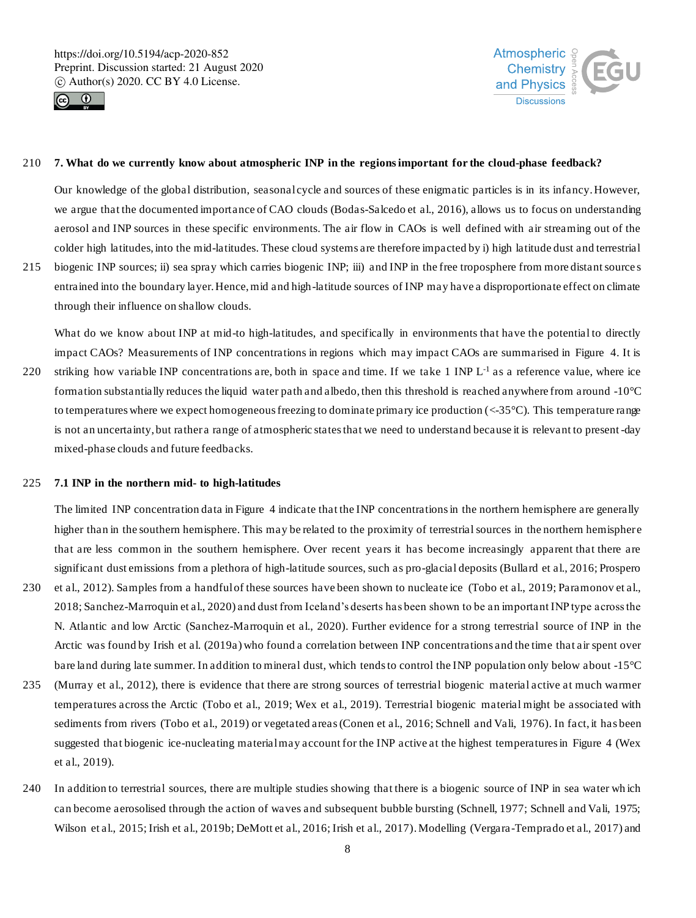



## 210 **7. What do we currently know about atmospheric INP in the regions important for the cloud-phase feedback?**

Our knowledge of the global distribution, seasonal cycle and sources of these enigmatic particles is in its infancy. However, we argue that the documented importance of CAO clouds (Bodas-Salcedo et al., 2016), allows us to focus on understanding aerosol and INP sources in these specific environments. The air flow in CAOs is well defined with air streaming out of the colder high latitudes, into the mid-latitudes. These cloud systems are therefore impacted by i) high latitude dust and terrestrial

215 biogenic INP sources; ii) sea spray which carries biogenic INP; iii) and INP in the free troposphere from more distant source s entrained into the boundary layer. Hence, mid and high-latitude sources of INP may have a disproportionate effect on climate through their influence on shallow clouds.

What do we know about INP at mid-to high-latitudes, and specifically in environments that have the potential to directly impact CAOs? Measurements of INP concentrations in regions which may impact CAOs are summarised in Figure 4. It is

220 striking how variable INP concentrations are, both in space and time. If we take 1 INP  $L^{-1}$  as a reference value, where ice formation substantially reduces the liquid water path and albedo, then this threshold is reached anywhere from around -10°C to temperatures where we expect homogeneous freezing to dominate primary ice production  $(<35^{\circ}C)$ . This temperature range is not an uncertainty, but rather a range of atmospheric states that we need to understand because it is relevant to present-day mixed-phase clouds and future feedbacks.

# 225 **7.1 INP in the northern mid- to high-latitudes**

The limited INP concentration data in Figure 4 indicate that the INP concentrations in the northern hemisphere are generally higher than in the southern hemisphere. This may be related to the proximity of terrestrial sources in the northern hemisphere that are less common in the southern hemisphere. Over recent years it has become increasingly apparent that there are significant dust emissions from a plethora of high-latitude sources, such as pro-glacial deposits (Bullard et al., 2016; Prospero

- 230 et al., 2012). Samples from a handful of these sources have been shown to nucleate ice (Tobo et al., 2019; Paramonov et al., 2018; Sanchez-Marroquin et al., 2020) and dust from Iceland's deserts has been shown to be an important INP type across the N. Atlantic and low Arctic (Sanchez-Marroquin et al., 2020). Further evidence for a strong terrestrial source of INP in the Arctic was found by Irish et al. (2019a) who found a correlation between INP concentrations and the time that air spent over bare land during late summer. In addition to mineral dust, which tends to control the INP population only below about -15°C
- 235 (Murray et al., 2012), there is evidence that there are strong sources of terrestrial biogenic material active at much warmer temperatures across the Arctic (Tobo et al., 2019; Wex et al., 2019). Terrestrial biogenic material might be associated with sediments from rivers (Tobo et al., 2019) or vegetated areas (Conen et al., 2016; Schnell and Vali, 1976). In fact, it has been suggested that biogenic ice-nucleating material may account for the INP active at the highest temperatures in Figure 4 (Wex et al., 2019).
- 240 In addition to terrestrial sources, there are multiple studies showing that there is a biogenic source of INP in sea water wh ich can become aerosolised through the action of waves and subsequent bubble bursting (Schnell, 1977; Schnell and Vali, 1975; Wilson et al., 2015; Irish et al., 2019b; DeMott et al., 2016; Irish et al., 2017). Modelling (Vergara-Temprado et al., 2017) and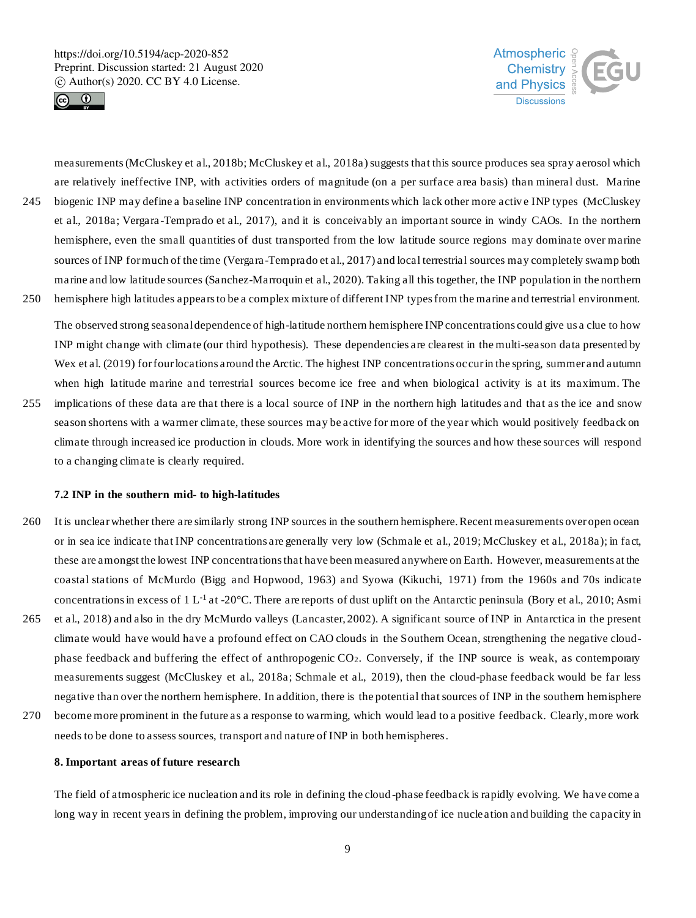



measurements (McCluskey et al., 2018b; McCluskey et al., 2018a) suggests that this source produces sea spray aerosol which are relatively ineffective INP, with activities orders of magnitude (on a per surface area basis) than mineral dust. Marine 245 biogenic INP may define a baseline INP concentration in environments which lack other more activ e INP types (McCluskey et al., 2018a; Vergara -Temprado et al., 2017), and it is conceivably an important source in windy CAOs. In the northern hemisphere, even the small quantities of dust transported from the low latitude source regions may dominate over marine sources of INP for much of the time (Vergara-Temprado et al., 2017) and local terrestrial sources may completely swamp both marine and low latitude sources (Sanchez-Marroquin et al., 2020). Taking all this together, the INP population in the northern

250 hemisphere high latitudes appears to be a complex mixture of different INP types from the marine and terrestrial environment.

The observed strong seasonal dependence of high-latitude northern hemisphere INP concentrations could give us a clue to how INP might change with climate (our third hypothesis). These dependencies are clearest in the multi-season data presented by Wex et al. (2019) for four locations around the Arctic. The highest INP concentrations occur in the spring, summer and autumn when high latitude marine and terrestrial sources become ice free and when biological activity is at its maximum. The

255 implications of these data are that there is a local source of INP in the northern high latitudes and that as the ice and snow season shortens with a warmer climate, these sources may be active for more of the year which would positively feedback on climate through increased ice production in clouds. More work in identifying the sources and how these sources will respond to a changing climate is clearly required.

# **7.2 INP in the southern mid- to high-latitudes**

- 260 It is unclear whether there are similarly strong INP sources in the southern hemisphere. Recent measurements over open ocean or in sea ice indicate that INP concentrations are generally very low (Schmale et al., 2019; McCluskey et al., 2018a); in fact, these are amongst the lowest INP concentrations that have been measured anywhere on Earth. However, measurements at the coastal stations of McMurdo (Bigg and Hopwood, 1963) and Syowa (Kikuchi, 1971) from the 1960s and 70s indicate concentrations in excess of 1 L<sup>-1</sup> at -20 $^{\circ}$ C. There are reports of dust uplift on the Antarctic peninsula (Bory et al., 2010; Asmi
- 265 et al., 2018) and also in the dry McMurdo valleys (Lancaster, 2002). A significant source of INP in Antarctica in the present climate would have would have a profound effect on CAO clouds in the Southern Ocean, strengthening the negative cloudphase feedback and buffering the effect of anthropogenic CO2. Conversely, if the INP source is weak, as contemporary measurements suggest (McCluskey et al., 2018a; Schmale et al., 2019), then the cloud-phase feedback would be far less negative than over the northern hemisphere. In addition, there is the potential that sources of INP in the southern hemisphere
- 270 become more prominent in the future as a response to warming, which would lead to a positive feedback. Clearly, more work needs to be done to assess sources, transport and nature of INP in both hemispheres.

## **8. Important areas of future research**

The field of atmospheric ice nucleation and its role in defining the cloud-phase feedback is rapidly evolving. We have come a long way in recent years in defining the problem, improving our understanding of ice nucle ation and building the capacity in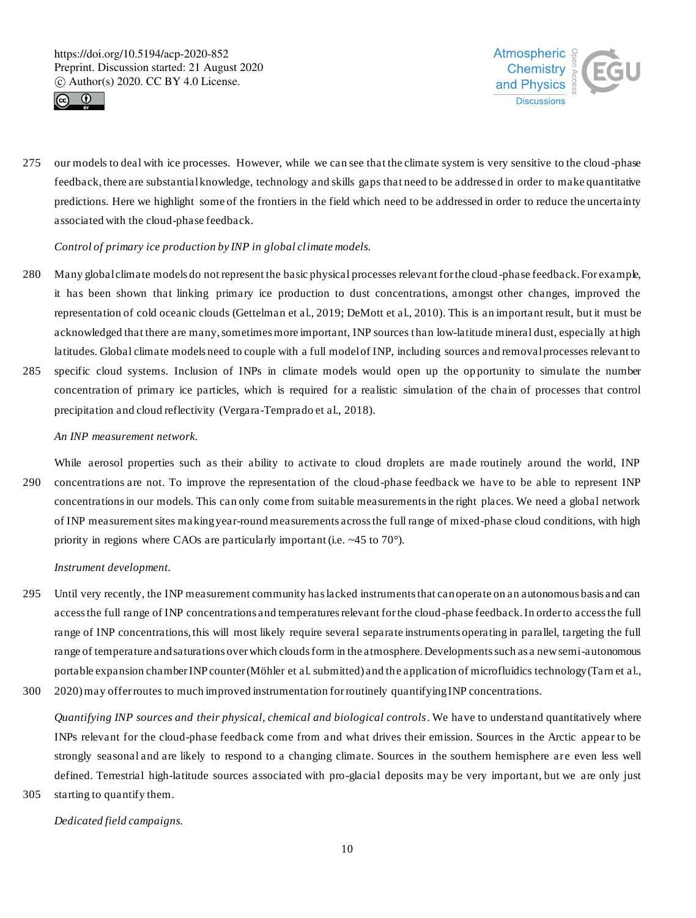



275 our models to deal with ice processes. However, while we can see that the climate system is very sensitive to the cloud -phase feedback, there are substantial knowledge, technology and skills gaps that need to be addressed in order to make quantitative predictions. Here we highlight some of the frontiers in the field which need to be addressed in order to reduce the uncertainty associated with the cloud-phase feedback.

# *Control of primary ice production by INP in global climate models.*

precipitation and cloud reflectivity (Vergara-Temprado et al., 2018).

280 Many global climate models do not represent the basic physical processes relevant for the cloud-phase feedback. For example, it has been shown that linking primary ice production to dust concentrations, amongst other changes, improved the representation of cold oceanic clouds (Gettelman et al., 2019; DeMott et al., 2010). This is an important result, but it must be acknowledged that there are many, sometimes more important, INP sources than low-latitude mineral dust, especially at high latitudes. Global climate models need to couple with a full model of INP, including sources and removal processes relevant to 285 specific cloud systems. Inclusion of INPs in climate models would open up the op portunity to simulate the number concentration of primary ice particles, which is required for a realistic simulation of the chain of processes that control

# *An INP measurement network.*

While aerosol properties such as their ability to activate to cloud droplets are made routinely around the world, INP 290 concentrations are not. To improve the representation of the cloud-phase feedback we have to be able to represent INP concentrations in our models. This can only come from suitable measurements in the right places. We need a global network of INP measurement sites making year-round measurements across the full range of mixed-phase cloud conditions, with high priority in regions where CAOs are particularly important (i.e. ~45 to 70°).

#### *Instrument development.*

- 295 Until very recently, the INP measurement community has lacked instruments that can operate on an autonomous basis and can access the full range of INP concentrations and temperatures relevant for the cloud -phase feedback. In order to access the full range of INP concentrations, this will most likely require several separate instruments operating in parallel, targeting the full range of temperature and saturations over which clouds form in the atmosphere. Developments such as a new semi-autonomous portable expansion chamber INP counter (Möhler et al. submitted) and the application of microfluidics technology(Tarn et al.,
- 300 2020)may offer routes to much improved instrumentation for routinely quantifying INP concentrations.

*Quantifying INP sources and their physical, chemical and biological controls*. We have to understand quantitatively where INPs relevant for the cloud-phase feedback come from and what drives their emission. Sources in the Arctic appear to be strongly seasonal and are likely to respond to a changing climate. Sources in the southern hemisphere are even less well defined. Terrestrial high-latitude sources associated with pro-glacial deposits may be very important, but we are only just 305 starting to quantify them.

*Dedicated field campaigns.*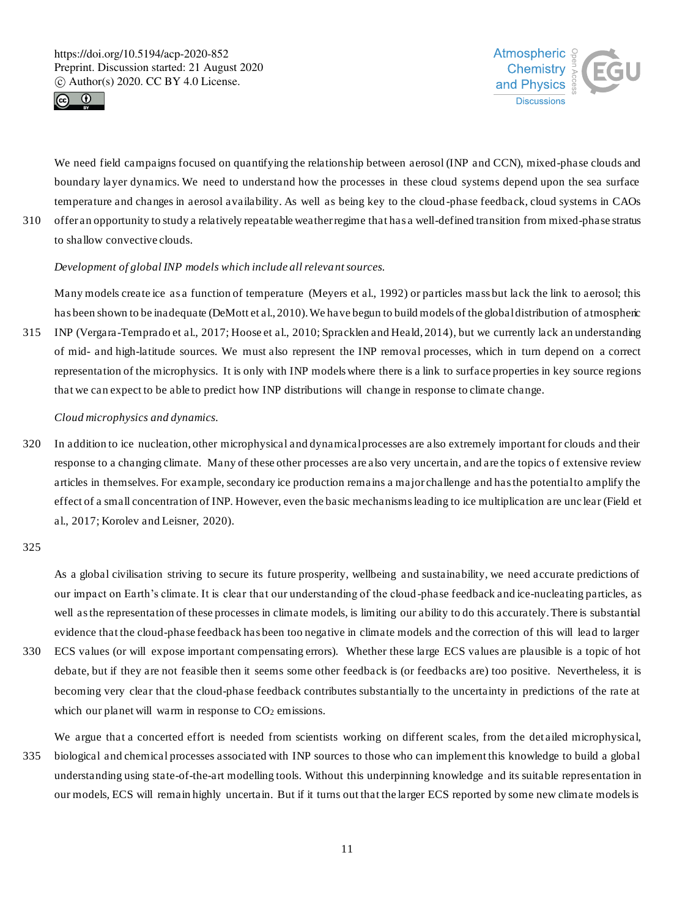



We need field campaigns focused on quantifying the relationship between aerosol (INP and CCN), mixed-phase clouds and boundary layer dynamics. We need to understand how the processes in these cloud systems depend upon the sea surface temperature and changes in aerosol availability. As well as being key to the cloud -phase feedback, cloud systems in CAOs 310 offer an opportunity to study a relatively repeatable weather regime that has a well-defined transition from mixed-phase stratus

to shallow convective clouds.

# *Development of global INP models which include all relevant sources.*

Many models create ice as a function of temperature (Meyers et al., 1992) or particles mass but lack the link to aerosol; this has been shown to be inadequate (DeMott et al., 2010). We have begun to build models of the global distribution of atmospheric 315 INP (Vergara-Temprado et al., 2017; Hoose et al., 2010; Spracklen and Heald, 2014), but we currently lack an understanding of mid- and high-latitude sources. We must also represent the INP removal processes, which in turn depend on a correct representation of the microphysics. It is only with INP models where there is a link to surface properties in key source regions that we can expect to be able to predict how INP distributions will change in response to climate change.

## *Cloud microphysics and dynamics.*

320 In addition to ice nucleation, other microphysical and dynamical processes are also extremely important for clouds and their response to a changing climate. Many of these other processes are also very uncertain, and are the topics o f extensive review articles in themselves. For example, secondary ice production remains a major challenge and has the potential to amplify the effect of a small concentration of INP. However, even the basic mechanisms leading to ice multiplication are unc lear (Field et al., 2017; Korolev and Leisner, 2020).

## 325

As a global civilisation striving to secure its future prosperity, wellbeing and sustainability, we need accurate predictions of our impact on Earth's climate. It is clear that our understanding of the cloud -phase feedback and ice-nucleating particles, as well as the representation of these processes in climate models, is limiting our ability to do this accurately. There is substantial evidence that the cloud-phase feedback has been too negative in climate models and the correction of this will lead to larger 330 ECS values (or will expose important compensating errors). Whether these large ECS values are plausible is a topic of hot debate, but if they are not feasible then it seems some other feedback is (or feedbacks are) too positive. Nevertheless, it is becoming very clear that the cloud-phase feedback contributes substantially to the uncertainty in predictions of the rate at

which our planet will warm in response to  $CO<sub>2</sub>$  emissions.

We argue that a concerted effort is needed from scientists working on different scales, from the det ailed microphysical,

335 biological and chemical processes associated with INP sources to those who can implement this knowledge to build a global understanding using state-of-the-art modelling tools. Without this underpinning knowledge and its suitable representation in our models, ECS will remain highly uncertain. But if it turns out that the larger ECS reported by some new climate models is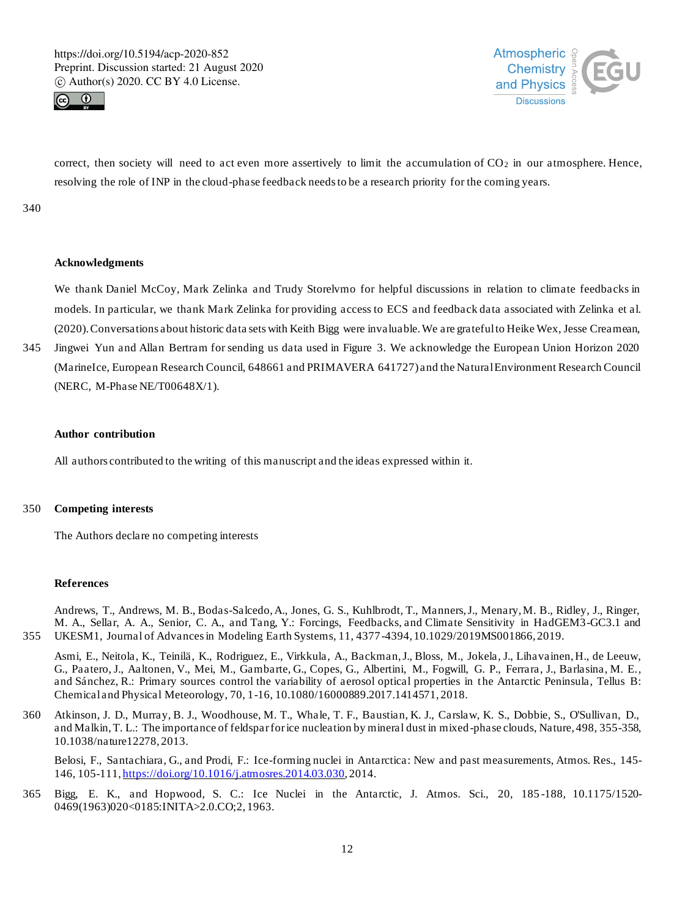



correct, then society will need to act even more assertively to limit the accumulation of  $CO<sub>2</sub>$  in our atmosphere. Hence, resolving the role of INP in the cloud-phase feedback needs to be a research priority for the coming years.

### 340

## **Acknowledgments**

We thank Daniel McCoy, Mark Zelinka and Trudy Storelvmo for helpful discussions in relation to climate feedbacks in models. In particular, we thank Mark Zelinka for providing access to ECS and feedback data associated with Zelinka et al. (2020). Conversations about historic data sets with Keith Bigg were invaluable. We are grateful to Heike Wex, Jesse Creamean,

345 Jingwei Yun and Allan Bertram for sending us data used in Figure 3. We acknowledge the European Union Horizon 2020 (MarineIce, European Research Council, 648661 and PRIMAVERA 641727) and the Natural Environment Research Council (NERC, M-Phase NE/T00648X/1).

#### **Author contribution**

All authors contributed to the writing of this manuscript and the ideas expressed within it.

# 350 **Competing interests**

The Authors declare no competing interests

## **References**

Andrews, T., Andrews, M. B., Bodas-Salcedo, A., Jones, G. S., Kuhlbrodt, T., Manners, J., Menary, M. B., Ridley, J., Ringer, M. A., Sellar, A. A., Senior, C. A., and Tang, Y.: Forcings, Feedbacks, and Climate Sensitivity in HadGEM3-GC3.1 and 355 UKESM1, Journal of Advances in Modeling Earth Systems, 11, 4377-4394, 10.1029/2019MS001866, 2019.

Asmi, E., Neitola, K., Teinilä, K., Rodriguez, E., Virkkula, A., Backman, J., Bloss, M., Jokela, J., Lihavainen, H., de Leeuw, G., Paatero, J., Aaltonen, V., Mei, M., Gambarte, G., Copes, G., Albertini, M., Fogwill, G. P., Ferrara, J., Barlasina, M. E., and Sánchez, R.: Primary sources control the variability of aerosol optical properties in t he Antarctic Peninsula, Tellus B: Chemical and Physical Meteorology, 70, 1-16, 10.1080/16000889.2017.1414571, 2018.

360 Atkinson, J. D., Murray, B. J., Woodhouse, M. T., Whale, T. F., Baustian, K. J., Carslaw, K. S., Dobbie, S., O'Sullivan, D., and Malkin, T. L.: The importance of feldspar for ice nucleation by mineral dust in mixed-phase clouds, Nature, 498, 355-358, 10.1038/nature12278, 2013.

Belosi, F., Santachiara, G., and Prodi, F.: Ice-forming nuclei in Antarctica: New and past measurements, Atmos. Res., 145- 146, 105-111, https://doi.org/10.1016/j.atmosres.2014.03.030, 2014.

365 Bigg, E. K., and Hopwood, S. C.: Ice Nuclei in the Antarctic, J. Atmos. Sci., 20, 185 -188, 10.1175/1520- 0469(1963)020<0185:INITA>2.0.CO;2, 1963.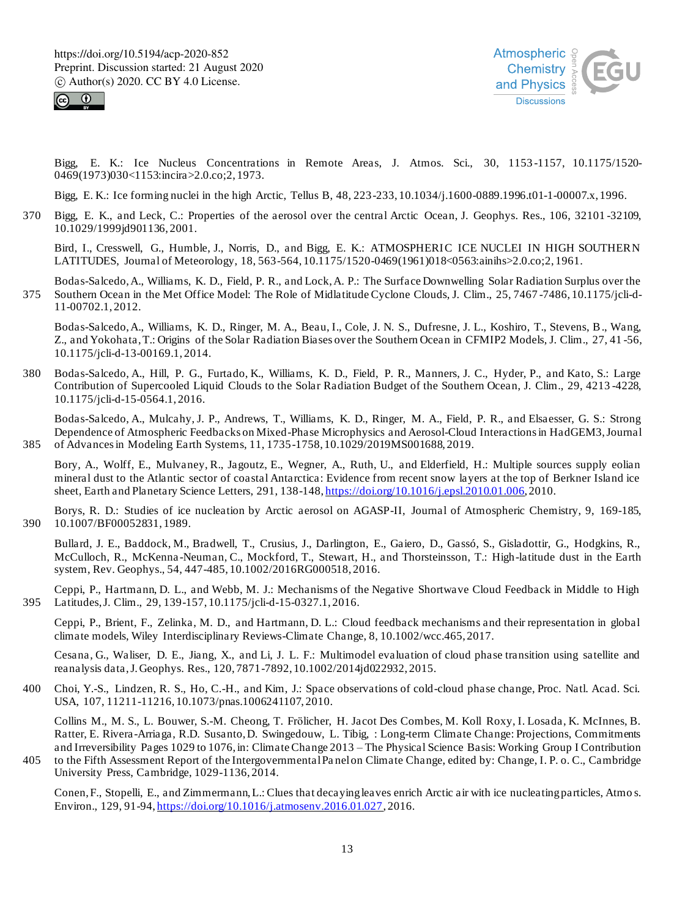



Bigg, E. K.: Ice Nucleus Concentrations in Remote Areas, J. Atmos. Sci., 30, 1153 -1157, 10.1175/1520- 0469(1973)030<1153:incira>2.0.co;2, 1973.

Bigg, E. K.: Ice forming nuclei in the high Arctic, Tellus B, 48, 223-233, 10.1034/j.1600-0889.1996.t01-1-00007.x, 1996.

370 Bigg, E. K., and Leck, C.: Properties of the aerosol over the central Arctic Ocean, J. Geophys. Res., 106, 32101 -32109, 10.1029/1999jd901136, 2001.

Bird, I., Cresswell, G., Humble, J., Norris, D., and Bigg, E. K.: ATMOSPHERIC ICE NUCLEI IN HIGH SOUTHERN LATITUDES, Journal of Meteorology, 18, 563-564, 10.1175/1520-0469(1961)018<0563:ainihs>2.0.co;2, 1961.

Bodas-Salcedo, A., Williams, K. D., Field, P. R., and Lock, A. P.: The Surface Downwelling Solar Radiation Surplus over the 375 Southern Ocean in the Met Office Model: The Role of Midlatitude Cyclone Clouds, J. Clim., 25, 7467 -7486, 10.1175/jcli-d-11-00702.1, 2012.

Bodas-Salcedo, A., Williams, K. D., Ringer, M. A., Beau, I., Cole, J. N. S., Dufresne, J. L., Koshiro, T., Stevens, B., Wang, Z., and Yokohata, T.: Origins of the Solar Radiation Biases over the Southern Ocean in CFMIP2 Models, J. Clim., 27, 41 -56, 10.1175/jcli-d-13-00169.1, 2014.

380 Bodas-Salcedo, A., Hill, P. G., Furtado, K., Williams, K. D., Field, P. R., Manners, J. C., Hyder, P., and Kato, S.: Large Contribution of Supercooled Liquid Clouds to the Solar Radiation Budget of the Southern Ocean, J. Clim., 29, 4213 -4228, 10.1175/jcli-d-15-0564.1, 2016.

Bodas-Salcedo, A., Mulcahy, J. P., Andrews, T., Williams, K. D., Ringer, M. A., Field, P. R., and Elsaesser, G. S.: Strong Dependence of Atmospheric Feedbacks on Mixed-Phase Microphysics and Aerosol-Cloud Interactions in HadGEM3, Journal 385 of Advances in Modeling Earth Systems, 11, 1735-1758, 10.1029/2019MS001688, 2019.

Bory, A., Wolff, E., Mulvaney, R., Jagoutz, E., Wegner, A., Ruth, U., and Elderfield, H.: Multiple sources supply eolian mineral dust to the Atlantic sector of coastal Antarctica: Evidence from recent snow layers at the top of Berkner Island ice sheet, Earth and Planetary Science Letters, 291, 138-148, https://doi.org/10.1016/j.epsl.2010.01.006, 2010.

Borys, R. D.: Studies of ice nucleation by Arctic aerosol on AGASP-II, Journal of Atmospheric Chemistry, 9, 169-185, 390 10.1007/BF00052831, 1989.

Bullard, J. E., Baddock, M., Bradwell, T., Crusius, J., Darlington, E., Gaiero, D., Gassó, S., Gisladottir, G., Hodgkins, R., McCulloch, R., McKenna -Neuman, C., Mockford, T., Stewart, H., and Thorsteinsson, T.: High-latitude dust in the Earth system, Rev. Geophys., 54, 447-485, 10.1002/2016RG000518, 2016.

Ceppi, P., Hartmann, D. L., and Webb, M. J.: Mechanisms of the Negative Shortwave Cloud Feedback in Middle to High 395 Latitudes, J. Clim., 29, 139-157, 10.1175/jcli-d-15-0327.1, 2016.

Ceppi, P., Brient, F., Zelinka, M. D., and Hartmann, D. L.: Cloud feedback mechanisms and their representation in global climate models, Wiley Interdisciplinary Reviews-Climate Change, 8, 10.1002/wcc.465, 2017.

Cesana, G., Waliser, D. E., Jiang, X., and Li, J. L. F.: Multimodel evaluation of cloud phase transition using satellite and reanalysis data, J. Geophys. Res., 120, 7871-7892, 10.1002/2014jd022932, 2015.

400 Choi, Y.-S., Lindzen, R. S., Ho, C.-H., and Kim, J.: Space observations of cold-cloud phase change, Proc. Natl. Acad. Sci. USA, 107, 11211-11216, 10.1073/pnas.1006241107, 2010.

Collins M., M. S., L. Bouwer, S.-M. Cheong, T. Frölicher, H. Jacot Des Combes, M. Koll Roxy, I. Losada, K. McInnes, B. Ratter, E. Rivera -Arriaga, R.D. Susanto, D. Swingedouw, L. Tibig, : Long-term Climate Change: Projections, Commitments and Irreversibility Pages 1029 to 1076, in: Climate Change 2013 – The Physical Science Basis: Working Group I Contribution

405 to the Fifth Assessment Report of the Intergovernmental Pa nel on Climate Change, edited by: Change, I. P. o. C., Cambridge University Press, Cambridge, 1029-1136, 2014.

Conen, F., Stopelli, E., and Zimmermann, L.: Clues that decaying leaves enrich Arctic air with ice nucleating particles, Atmo s. Environ., 129, 91-94, https://doi.org/10.1016/j.atmosenv.2016.01.027, 2016.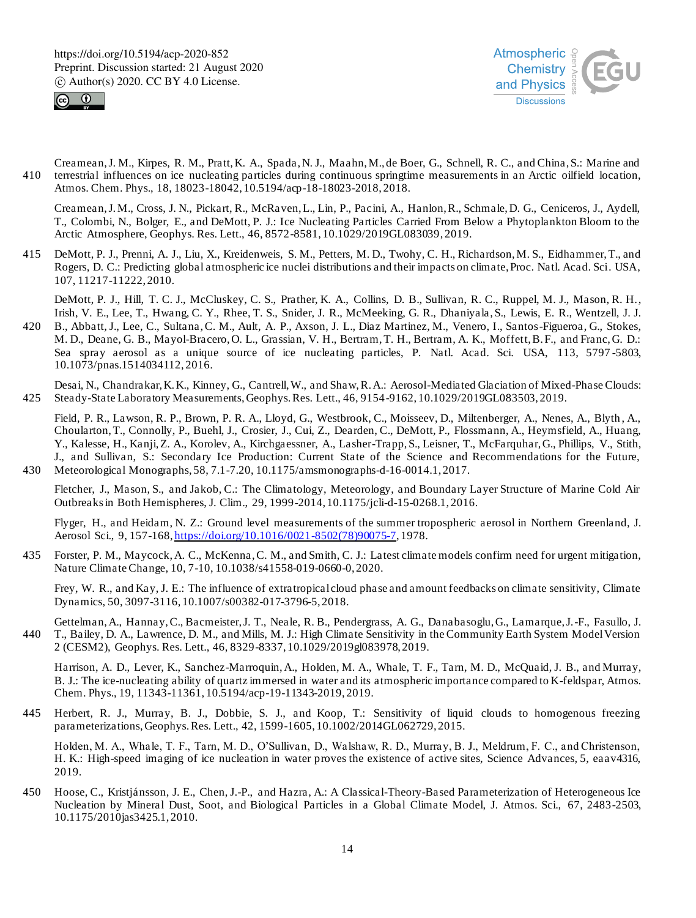



Creamean, J. M., Kirpes, R. M., Pratt, K. A., Spada, N. J., Maahn, M., de Boer, G., Schnell, R. C., and China, S.: Marine and 410 terrestrial influences on ice nucleating particles during continuous springtime measurements in an Arctic oilfield location, Atmos. Chem. Phys., 18, 18023-18042, 10.5194/acp-18-18023-2018, 2018.

Creamean, J. M., Cross, J. N., Pickart, R., McRaven, L., Lin, P., Pacini, A., Hanlon, R., Schmale, D. G., Ceniceros, J., Aydell, T., Colombi, N., Bolger, E., and DeMott, P. J.: Ice Nucleating Particles Carried From Below a Phytoplankton Bloom to the Arctic Atmosphere, Geophys. Res. Lett., 46, 8572-8581, 10.1029/2019GL083039, 2019.

415 DeMott, P. J., Prenni, A. J., Liu, X., Kreidenweis, S. M., Petters, M. D., Twohy, C. H., Richardson, M. S., Eidhammer, T., and Rogers, D. C.: Predicting global atmospheric ice nuclei distributions and their impacts on climate, Proc. Natl. Acad. Sci. USA, 107, 11217-11222, 2010.

DeMott, P. J., Hill, T. C. J., McCluskey, C. S., Prather, K. A., Collins, D. B., Sullivan, R. C., Ruppel, M. J., Mason, R. H., Irish, V. E., Lee, T., Hwang, C. Y., Rhee, T. S., Snider, J. R., McMeeking, G. R., Dhaniyala, S., Lewis, E. R., Wentzell, J. J.

420 B., Abbatt, J., Lee, C., Sultana, C. M., Ault, A. P., Axson, J. L., Diaz Martinez, M., Venero, I., Santos-Figueroa, G., Stokes, M. D., Deane, G. B., Mayol-Bracero, O. L., Grassian, V. H., Bertram, T. H., Bertram, A. K., Moffett, B. F., and Franc, G. D.: Sea spray aerosol as a unique source of ice nucleating particles, P. Natl. Acad. Sci. USA, 113, 5797 -5803, 10.1073/pnas.1514034112, 2016.

Desai, N., Chandrakar, K. K., Kinney, G., Cantrell, W., and Shaw, R. A.: Aerosol-Mediated Glaciation of Mixed-Phase Clouds: 425 Steady-State Laboratory Measurements, Geophys. Res. Lett., 46, 9154-9162, 10.1029/2019GL083503, 2019.

Field, P. R., Lawson, R. P., Brown, P. R. A., Lloyd, G., Westbrook, C., Moisseev, D., Miltenberger, A., Nenes, A., Blyth , A., Choularton, T., Connolly, P., Buehl, J., Crosier, J., Cui, Z., Dearden, C., DeMott, P., Flossmann, A., Heymsfield, A., Huang, Y., Kalesse, H., Kanji, Z. A., Korolev, A., Kirchgaessner, A., Lasher-Trapp, S., Leisner, T., McFarquhar, G., Phillips, V., Stith, J., and Sullivan, S.: Secondary Ice Production: Current State of the Science and Recommendations for the Future, 430 Meteorological Monographs, 58, 7.1-7.20, 10.1175/amsmonographs-d-16-0014.1, 2017.

Fletcher, J., Mason, S., and Jakob, C.: The Climatology, Meteorology, and Boundary Layer Structure of Marine Cold Air Outbreaks in Both Hemispheres, J. Clim., 29, 1999-2014, 10.1175/jcli-d-15-0268.1, 2016.

Flyger, H., and Heidam, N. Z.: Ground level measurements of the summer tropospheric aerosol in Northern Greenland, J. Aerosol Sci., 9, 157-168, https://doi.org/10.1016/0021-8502(78)90075-7, 1978.

435 Forster, P. M., Maycock, A. C., McKenna, C. M., and Smith, C. J.: Latest climate models confirm need for urgent mitigation, Nature Climate Change, 10, 7-10, 10.1038/s41558-019-0660-0, 2020.

Frey, W. R., and Kay, J. E.: The influence of extratropical cloud phase and amount feedbacks on climate sensitivity, Climate Dynamics, 50, 3097-3116, 10.1007/s00382-017-3796-5, 2018.

Gettelman, A., Hannay, C., Bacmeister, J. T., Neale, R. B., Pendergrass, A. G., Danabasoglu, G., Lamarque, J.-F., Fasullo, J. 440 T., Bailey, D. A., Lawrence, D. M., and Mills, M. J.: High Climate Sensitivity in the Community Earth System Model Version 2 (CESM2), Geophys. Res. Lett., 46, 8329-8337, 10.1029/2019gl083978, 2019.

Harrison, A. D., Lever, K., Sanchez-Marroquin, A., Holden, M. A., Whale, T. F., Tarn, M. D., McQuaid, J. B., and Murray, B. J.: The ice-nucleating ability of quartz immersed in water and its atmospheric importance compared to K-feldspar, Atmos. Chem. Phys., 19, 11343-11361, 10.5194/acp-19-11343-2019, 2019.

445 Herbert, R. J., Murray, B. J., Dobbie, S. J., and Koop, T.: Sensitivity of liquid clouds to homogenous freezing parameterizations, Geophys. Res. Lett., 42, 1599-1605, 10.1002/2014GL062729, 2015.

Holden, M. A., Whale, T. F., Tarn, M. D., O'Sullivan, D., Walshaw, R. D., Murray, B. J., Meldrum, F. C., and Christenson, H. K.: High-speed imaging of ice nucleation in water proves the existence of active sites, Science Advances, 5, eaav4316, 2019.

450 Hoose, C., Kristjánsson, J. E., Chen, J.-P., and Hazra, A.: A Classical-Theory-Based Parameterization of Heterogeneous Ice Nucleation by Mineral Dust, Soot, and Biological Particles in a Global Climate Model, J. Atmos. Sci., 67, 2483-2503, 10.1175/2010jas3425.1, 2010.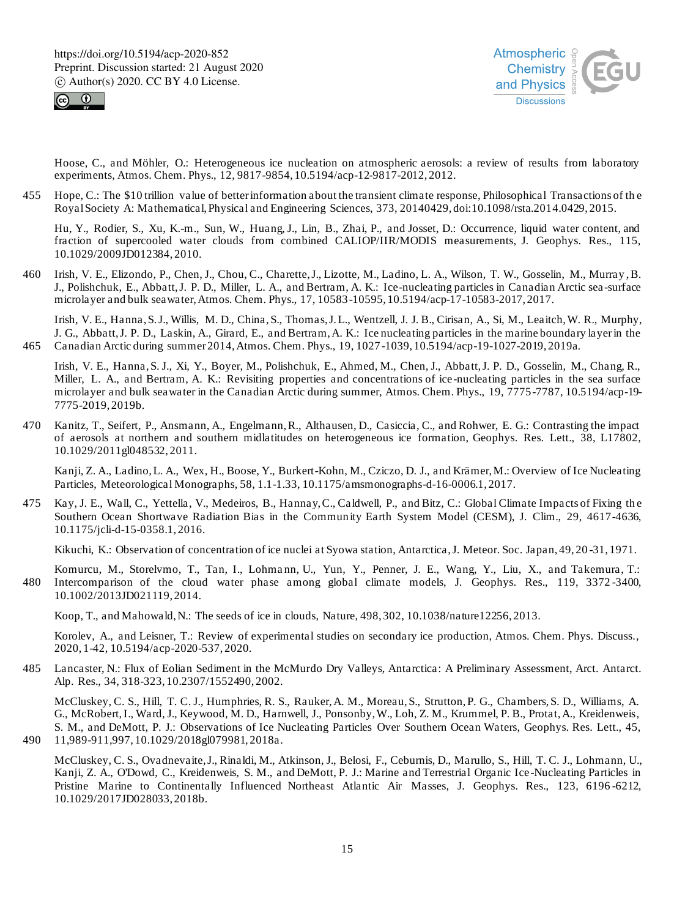



Hoose, C., and Möhler, O.: Heterogeneous ice nucleation on atmospheric aerosols: a review of results from laboratory experiments, Atmos. Chem. Phys., 12, 9817-9854, 10.5194/acp-12-9817-2012, 2012.

455 Hope, C.: The \$10 trillion value of better information about the transient climate response, Philosophical Transactions of th e Royal Society A: Mathematical, Physical and Engineering Sciences, 373, 20140429, doi:10.1098/rsta.2014.0429, 2015.

Hu, Y., Rodier, S., Xu, K.-m., Sun, W., Huang, J., Lin, B., Zhai, P., and Josset, D.: Occurrence, liquid water content, and fraction of supercooled water clouds from combined CALIOP/IIR/MODIS measurements, J. Geophys. Res., 115, 10.1029/2009JD012384, 2010.

460 Irish, V. E., Elizondo, P., Chen, J., Chou, C., Charette, J., Lizotte, M., Ladino, L. A., Wilson, T. W., Gosselin, M., Murray , B. J., Polishchuk, E., Abbatt, J. P. D., Miller, L. A., and Bertram, A. K.: Ice-nucleating particles in Canadian Arctic sea-surface microlayer and bulk seawater, Atmos. Chem. Phys., 17, 10583-10595, 10.5194/acp-17-10583-2017, 2017.

Irish, V. E., Hanna, S. J., Willis, M. D., China, S., Thomas, J. L., Wentzell, J. J. B., Cirisan, A., Si, M., Leaitch, W. R., Murphy, J. G., Abbatt, J. P. D., Laskin, A., Girard, E., and Bertram, A. K.: Ice nucleating particles in the marine boundary layer in the 465 Canadian Arctic during summer 2014, Atmos. Chem. Phys., 19, 1027-1039, 10.5194/acp-19-1027-2019, 2019a.

Irish, V. E., Hanna, S. J., Xi, Y., Boyer, M., Polishchuk, E., Ahmed, M., Chen, J., Abbatt, J. P. D., Gosselin, M., Chang, R., Miller, L. A., and Bertram, A. K.: Revisiting properties and concentrations of ice-nucleating particles in the sea surface microlayer and bulk seawater in the Canadian Arctic during summer, Atmos. Chem. Phys., 19, 7775-7787, 10.5194/acp-19- 7775-2019, 2019b.

470 Kanitz, T., Seifert, P., Ansmann, A., Engelmann, R., Althausen, D., Casiccia, C., and Rohwer, E. G.: Contrasting the impact of aerosols at northern and southern midlatitudes on heterogeneous ice formation, Geophys. Res. Lett., 38, L17802, 10.1029/2011gl048532, 2011.

Kanji, Z. A., Ladino, L. A., Wex, H., Boose, Y., Burkert-Kohn, M., Cziczo, D. J., and Krämer, M.: Overview of Ice Nucleating Particles, Meteorological Monographs, 58, 1.1-1.33, 10.1175/amsmonographs-d-16-0006.1, 2017.

475 Kay, J. E., Wall, C., Yettella, V., Medeiros, B., Hannay, C., Caldwell, P., and Bitz, C.: Global Climate Impacts of Fixing th e Southern Ocean Shortwave Radiation Bias in the Community Earth System Model (CESM), J. Clim., 29, 4617-4636, 10.1175/jcli-d-15-0358.1, 2016.

Kikuchi, K.: Observation of concentration of ice nuclei at Syowa station, Antarctica, J. Meteor. Soc. Japan, 49, 20 -31, 1971.

Komurcu, M., Storelvmo, T., Tan, I., Lohma nn, U., Yun, Y., Penner, J. E., Wang, Y., Liu, X., and Takemura, T.: 480 Intercomparison of the cloud water phase among global climate models, J. Geophys. Res., 119, 3372 -3400, 10.1002/2013JD021119, 2014.

Koop, T., and Mahowald, N.: The seeds of ice in clouds, Nature, 498, 302, 10.1038/nature12256, 2013.

Korolev, A., and Leisner, T.: Review of experimental studies on secondary ice production, Atmos. Chem. Phys. Discuss., 2020, 1-42, 10.5194/acp-2020-537, 2020.

485 Lancaster, N.: Flux of Eolian Sediment in the McMurdo Dry Valleys, Antarctica: A Preliminary Assessment, Arct. Antarct. Alp. Res., 34, 318-323, 10.2307/1552490, 2002.

McCluskey, C. S., Hill, T. C. J., Humphries, R. S., Rauker, A. M., Moreau, S., Strutton, P. G., Chambers, S. D., Williams, A. G., McRobert, I., Ward, J., Keywood, M. D., Harnwell, J., Ponsonby, W., Loh, Z. M., Krummel, P. B., Protat, A., Kreidenweis, S. M., and DeMott, P. J.: Observations of Ice Nucleating Particles Over Southern Ocean Waters, Geophys. Res. Lett., 45,

490 11,989-911,997, 10.1029/2018gl079981, 2018a.

McCluskey, C. S., Ovadnevaite, J., Rinaldi, M., Atkinson, J., Belosi, F., Ceburnis, D., Marullo, S., Hill, T. C. J., Lohmann, U., Kanji, Z. A., O'Dowd, C., Kreidenweis, S. M., and DeMott, P. J.: Marine and Terrestrial Organic Ice -Nucleating Particles in Pristine Marine to Continentally Influenced Northeast Atlantic Air Masses, J. Geophys. Res., 123, 6196 -6212, 10.1029/2017JD028033, 2018b.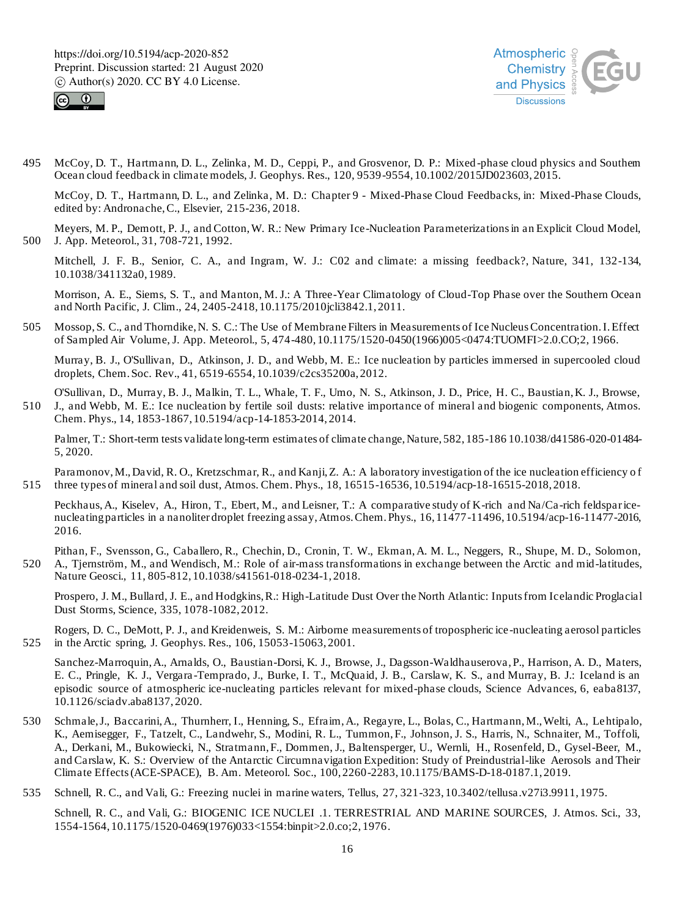



495 McCoy, D. T., Hartmann, D. L., Zelinka, M. D., Ceppi, P., and Grosvenor, D. P.: Mixed -phase cloud physics and Southern Ocean cloud feedback in climate models, J. Geophys. Res., 120, 9539-9554, 10.1002/2015JD023603, 2015.

McCoy, D. T., Hartmann, D. L., and Zelinka, M. D.: Chapter 9 - Mixed-Phase Cloud Feedbacks, in: Mixed-Phase Clouds, edited by: Andronache, C., Elsevier, 215-236, 2018.

Meyers, M. P., Demott, P. J., and Cotton, W. R.: New Primary Ice-Nucleation Parameterizations in an Explicit Cloud Model, 500 J. App. Meteorol., 31, 708-721, 1992.

Mitchell, J. F. B., Senior, C. A., and Ingram, W. J.: C02 and climate: a missing feedback?, Nature, 341, 132-134, 10.1038/341132a0, 1989.

Morrison, A. E., Siems, S. T., and Manton, M. J.: A Three-Year Climatology of Cloud-Top Phase over the Southern Ocean and North Pacific, J. Clim., 24, 2405-2418, 10.1175/2010jcli3842.1, 2011.

505 Mossop, S. C., and Thorndike, N. S. C.: The Use of Membrane Filters in Measurements of Ice Nucleus Concentration. I. Effect of Sampled Air Volume, J. App. Meteorol., 5, 474-480, 10.1175/1520-0450(1966)005<0474:TUOMFI>2.0.CO;2, 1966.

Murray, B. J., O'Sullivan, D., Atkinson, J. D., and Webb, M. E.: Ice nucleation by particles immersed in supercooled cloud droplets, Chem. Soc. Rev., 41, 6519-6554, 10.1039/c2cs35200a, 2012.

O'Sullivan, D., Murray, B. J., Malkin, T. L., Whale, T. F., Umo, N. S., Atkinson, J. D., Price, H. C., Baustian, K. J., Browse, 510 J., and Webb, M. E.: Ice nucleation by fertile soil dusts: relative importance of mineral and biogenic components, Atmos. Chem. Phys., 14, 1853-1867, 10.5194/acp-14-1853-2014, 2014.

Palmer, T.: Short-term tests validate long-term estimates of climate change, Nature, 582, 185-186 10.1038/d41586-020-01484- 5, 2020.

Paramonov, M., David, R. O., Kretzschmar, R., and Kanji, Z. A.: A laboratory investigation of the ice nucleation efficiency of 515 three types of mineral and soil dust, Atmos. Chem. Phys., 18, 16515-16536, 10.5194/acp-18-16515-2018, 2018.

Peckhaus, A., Kiselev, A., Hiron, T., Ebert, M., and Leisner, T.: A comparative study of K-rich and Na/Ca -rich feldspar icenucleating particles in a nanoliter droplet freezing assay, Atmos. Chem. Phys., 16, 11477-11496, 10.5194/acp-16-11477-2016, 2016.

Pithan, F., Svensson, G., Caballero, R., Chechin, D., Cronin, T. W., Ekman, A. M. L., Neggers, R., Shupe, M. D., Solomon, 520 A., Tjernström, M., and Wendisch, M.: Role of air-mass transformations in exchange between the Arctic and mid-latitudes, Nature Geosci., 11, 805-812, 10.1038/s41561-018-0234-1, 2018.

Prospero, J. M., Bullard, J. E., and Hodgkins, R.: High-Latitude Dust Over the North Atlantic: Inputs from Icelandic Proglacial Dust Storms, Science, 335, 1078-1082, 2012.

Rogers, D. C., DeMott, P. J., and Kreidenweis, S. M.: Airborne measurements of tropospheric ice -nucleating aerosol particles 525 in the Arctic spring, J. Geophys. Res., 106, 15053-15063, 2001.

Sanchez-Marroquin, A., Arnalds, O., Baustian-Dorsi, K. J., Browse, J., Dagsson-Waldhauserova, P., Harrison, A. D., Maters, E. C., Pringle, K. J., Vergara -Temprado, J., Burke, I. T., McQuaid, J. B., Carslaw, K. S., and Murray, B. J.: Iceland is an episodic source of atmospheric ice-nucleating particles relevant for mixed-phase clouds, Science Advances, 6, eaba8137, 10.1126/sciadv.aba8137, 2020.

- 530 Schmale, J., Baccarini, A., Thurnherr, I., Henning, S., Efraim, A., Regayre, L., Bolas, C., Hartmann, M., Welti, A., Le htipalo, K., Aemisegger, F., Tatzelt, C., Landwehr, S., Modini, R. L., Tummon, F., Johnson, J. S., Harris, N., Schnaiter, M., Toffoli, A., Derkani, M., Bukowiecki, N., Stratmann, F., Dommen, J., Baltensperger, U., Wernli, H., Rosenfeld, D., Gysel-Beer, M., and Carslaw, K. S.: Overview of the Antarctic Circumnavigation Expedition: Study of Preindustrial-like Aerosols and Their Climate Effects (ACE-SPACE), B. Am. Meteorol. Soc., 100, 2260-2283, 10.1175/BAMS-D-18-0187.1, 2019.
- 535 Schnell, R. C., and Vali, G.: Freezing nuclei in marine waters, Tellus, 27, 321-323, 10.3402/tellusa.v27i3.9911, 1975.

Schnell, R. C., and Vali, G.: BIOGENIC ICE NUCLEI .1. TERRESTRIAL AND MARINE SOURCES, J. Atmos. Sci., 33, 1554-1564, 10.1175/1520-0469(1976)033<1554:binpit>2.0.co;2, 1976.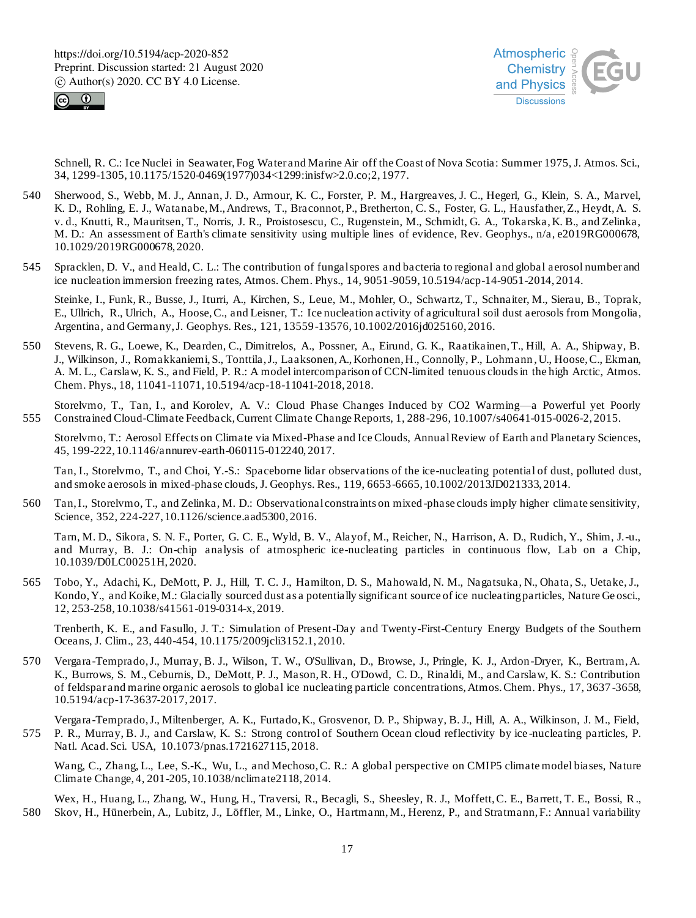



Schnell, R. C.: Ice Nuclei in Seawater, Fog Water and Marine Air off the Coast of Nova Scotia: Summer 1975, J. Atmos. Sci., 34, 1299-1305, 10.1175/1520-0469(1977)034<1299:inisfw>2.0.co;2, 1977.

- 540 Sherwood, S., Webb, M. J., Annan, J. D., Armour, K. C., Forster, P. M., Hargreaves, J. C., Hegerl, G., Klein, S. A., Marvel, K. D., Rohling, E. J., Watanabe, M., Andrews, T., Braconnot, P., Bretherton, C. S., Foster, G. L., Hausfather, Z., Heydt, A. S. v. d., Knutti, R., Mauritsen, T., Norris, J. R., Proistosescu, C., Rugenstein, M., Schmidt, G. A., Tokarska, K. B., and Zelinka, M. D.: An assessment of Earth's climate sensitivity using multiple lines of evidence, Rev. Geophys., n/a, e2019RG000678, 10.1029/2019RG000678, 2020.
- 545 Spracklen, D. V., and Heald, C. L.: The contribution of fungal spores and bacteria to regional and global aerosol number and ice nucleation immersion freezing rates, Atmos. Chem. Phys., 14, 9051-9059, 10.5194/acp-14-9051-2014, 2014.

Steinke, I., Funk, R., Busse, J., Iturri, A., Kirchen, S., Leue, M., Mohler, O., Schwartz, T., Schnaiter, M., Sierau, B., Toprak, E., Ullrich, R., Ulrich, A., Hoose, C., and Leisner, T.: Ice nucleation activity of agricultural soil dust aerosols from Mongolia, Argentina, and Germany, J. Geophys. Res., 121, 13559-13576, 10.1002/2016jd025160, 2016.

550 Stevens, R. G., Loewe, K., Dearden, C., Dimitrelos, A., Possner, A., Eirund, G. K., Raatikainen, T., Hill, A. A., Shipway, B. J., Wilkinson, J., Romakkaniemi, S., Tonttila, J., Laaksonen, A., Korhonen, H., Connolly, P., Lohmann , U., Hoose, C., Ekman, A. M. L., Carslaw, K. S., and Field, P. R.: A model intercomparison of CCN-limited tenuous clouds in the high Arctic, Atmos. Chem. Phys., 18, 11041-11071, 10.5194/acp-18-11041-2018, 2018.

Storelvmo, T., Tan, I., and Korolev, A. V.: Cloud Phase Changes Induced by CO2 Warming—a Powerful yet Poorly 555 Constrained Cloud-Climate Feedback, Current Climate Change Reports, 1, 288-296, 10.1007/s40641-015-0026-2, 2015.

Storelvmo, T.: Aerosol Effects on Climate via Mixed-Phase and Ice Clouds, Annual Review of Earth and Planetary Sciences, 45, 199-222, 10.1146/annurev-earth-060115-012240, 2017.

Tan, I., Storelvmo, T., and Choi, Y.-S.: Spaceborne lidar observations of the ice-nucleating potential of dust, polluted dust, and smoke aerosols in mixed-phase clouds, J. Geophys. Res., 119, 6653-6665, 10.1002/2013JD021333, 2014.

560 Tan, I., Storelvmo, T., and Zelinka, M. D.: Observational constraints on mixed -phase clouds imply higher climate sensitivity, Science, 352, 224-227, 10.1126/science.aad5300, 2016.

Tarn, M. D., Sikora, S. N. F., Porter, G. C. E., Wyld, B. V., Alayof, M., Reicher, N., Harrison, A. D., Rudich, Y., Shim, J.-u., and Murray, B. J.: On-chip analysis of atmospheric ice-nucleating particles in continuous flow, Lab on a Chip, 10.1039/D0LC00251H, 2020.

565 Tobo, Y., Adachi, K., DeMott, P. J., Hill, T. C. J., Hamilton, D. S., Mahowald, N. M., Nagatsuka, N., Ohata, S., Uetake, J., Kondo, Y., and Koike, M.: Glacially sourced dust as a potentially significant source of ice nucleating particles, Nature Ge osci., 12, 253-258, 10.1038/s41561-019-0314-x, 2019.

Trenberth, K. E., and Fasullo, J. T.: Simulation of Present-Day and Twenty-First-Century Energy Budgets of the Southern Oceans, J. Clim., 23, 440-454, 10.1175/2009jcli3152.1, 2010.

570 Vergara-Temprado, J., Murray, B. J., Wilson, T. W., O'Sullivan, D., Browse, J., Pringle, K. J., Ardon-Dryer, K., Bertram, A. K., Burrows, S. M., Ceburnis, D., DeMott, P. J., Mason, R. H., O'Dowd, C. D., Rinaldi, M., and Carslaw, K. S.: Contribution of feldspar and marine organic aerosols to global ice nucleating particle concentrations, Atmos. Chem. Phys., 17, 3637 -3658, 10.5194/acp-17-3637-2017, 2017.

Vergara-Temprado, J., Miltenberger, A. K., Furtado, K., Grosvenor, D. P., Shipway, B. J., Hill, A. A., Wilkinson, J. M., Field, 575 P. R., Murray, B. J., and Carslaw, K. S.: Strong control of Southern Ocean cloud reflectivity by ice -nucleating particles, P. Natl. Acad. Sci. USA, 10.1073/pnas.1721627115, 2018.

Wang, C., Zhang, L., Lee, S.-K., Wu, L., and Mechoso, C. R.: A global perspective on CMIP5 climate model biases, Nature Climate Change, 4, 201-205, 10.1038/nclimate2118, 2014.

Wex, H., Huang, L., Zhang, W., Hung, H., Traversi, R., Becagli, S., Sheesley, R. J., Moffett, C. E., Barrett, T. E., Bossi, R., 580 Skov, H., Hünerbein, A., Lubitz, J., Löffler, M., Linke, O., Hartmann, M., Herenz, P., and Stratmann, F.: Annual variability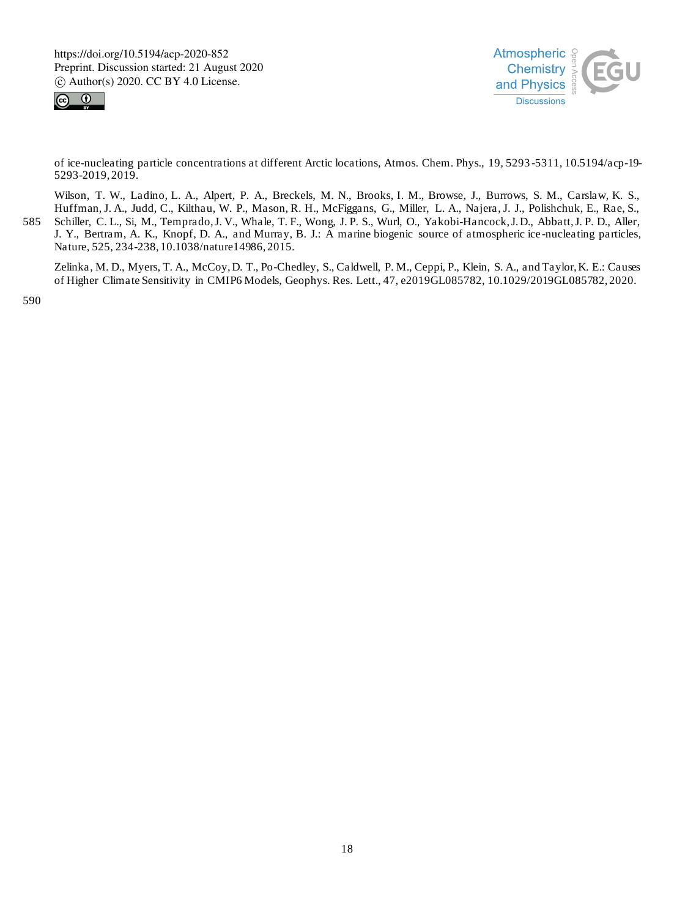



of ice-nucleating particle concentrations at different Arctic locations, Atmos. Chem. Phys., 19, 5293 -5311, 10.5194/acp-19- 5293-2019, 2019.

Wilson, T. W., Ladino, L. A., Alpert, P. A., Breckels, M. N., Brooks, I. M., Browse, J., Burrows, S. M., Carslaw, K. S., Huffman, J. A., Judd, C., Kilthau, W. P., Mason, R. H., McFiggans, G., Miller, L. A., Najera, J. J., Polishchuk, E., Rae, S., 585 Schiller, C. L., Si, M., Temprado, J. V., Whale, T. F., Wong, J. P. S., Wurl, O., Yakobi-Hancock, J. D., Abbatt, J. P. D., Aller, J. Y., Bertram, A. K., Knopf, D. A., and Murray, B. J.: A marine biogenic source of atmospheric ice -nucleating particles, Nature, 525, 234-238, 10.1038/nature14986, 2015.

Zelinka, M. D., Myers, T. A., McCoy, D. T., Po-Chedley, S., Caldwell, P. M., Ceppi, P., Klein, S. A., and Taylor, K. E.: Causes of Higher Climate Sensitivity in CMIP6 Models, Geophys. Res. Lett., 47, e2019GL085782, 10.1029/2019GL085782, 2020.

590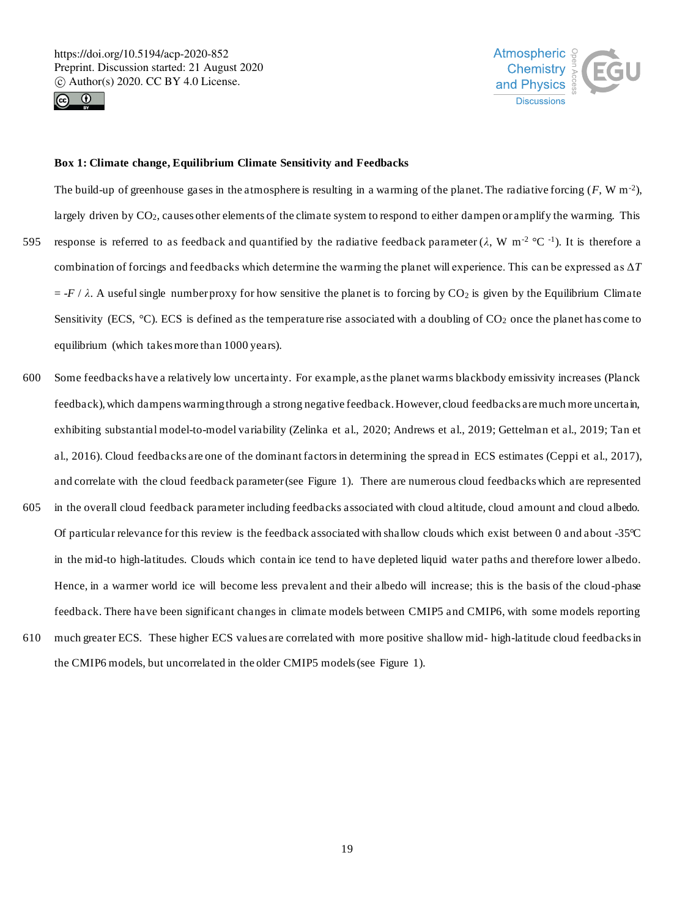



## **Box 1: Climate change, Equilibrium Climate Sensitivity and Feedbacks**

The build-up of greenhouse gases in the atmosphere is resulting in a warming of the planet. The radiative forcing  $(F, W \, m^{-2})$ , largely driven by CO<sub>2</sub>, causes other elements of the climate system to respond to either dampen or amplify the warming. This 595 response is referred to as feedback and quantified by the radiative feedback parameter ( $\lambda$ , W m<sup>-2</sup> °C<sup>-1</sup>). It is therefore a combination of forcings and feedbacks which determine the warming the planet will experience. This can be expressed as Δ*T*  $= -F / \lambda$ . A useful single number proxy for how sensitive the planet is to forcing by CO<sub>2</sub> is given by the Equilibrium Climate Sensitivity (ECS,  $^{\circ}$ C). ECS is defined as the temperature rise associated with a doubling of CO<sub>2</sub> once the planet has come to equilibrium (which takes more than 1000 years).

- 600 Some feedbacks have a relatively low uncertainty. For example, as the planet warms blackbody emissivity increases (Planck feedback), which dampens warming through a strong negative feedback. However, cloud feedbacks are much more uncertain, exhibiting substantial model-to-model variability (Zelinka et al., 2020; Andrews et al., 2019; Gettelman et al., 2019; Tan et al., 2016). Cloud feedbacks are one of the dominant factors in determining the spread in ECS estimates (Ceppi et al., 2017), and correlate with the cloud feedback parameter (see Figure 1). There are numerous cloud feedbacks which are represented
- 605 in the overall cloud feedback parameter including feedbacks associated with cloud altitude, cloud amount and cloud albedo. Of particular relevance for this review is the feedback associated with shallow clouds which exist between 0 and about -35 $\degree$ C in the mid-to high-latitudes. Clouds which contain ice tend to have depleted liquid water paths and therefore lower albedo. Hence, in a warmer world ice will become less prevalent and their albedo will increase; this is the basis of the cloud-phase feedback. There have been significant changes in climate models between CMIP5 and CMIP6, with some models reporting
- 610 much greater ECS. These higher ECS values are correlated with more positive shallow mid- high-latitude cloud feedbacks in the CMIP6 models, but uncorrelated in the older CMIP5 models (see Figure 1).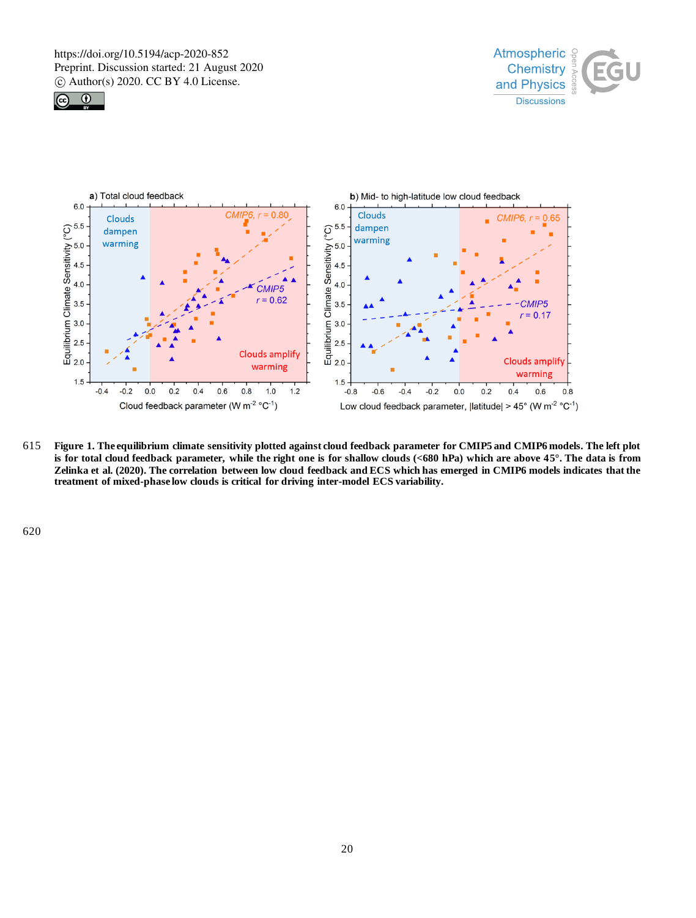





615 **Figure 1. The equilibrium climate sensitivity plotted against cloud feedback parameter for CMIP5 and CMIP6 models. The left plot is for total cloud feedback parameter, while the right one is for shallow clouds (<680 hPa) which are above 45°. The data is from Zelinka et al. (2020). The correlation between low cloud feedback and ECS which has emerged in CMIP6 models indicates that the treatment of mixed-phase low clouds is critical for driving inter-model ECS variability.**

620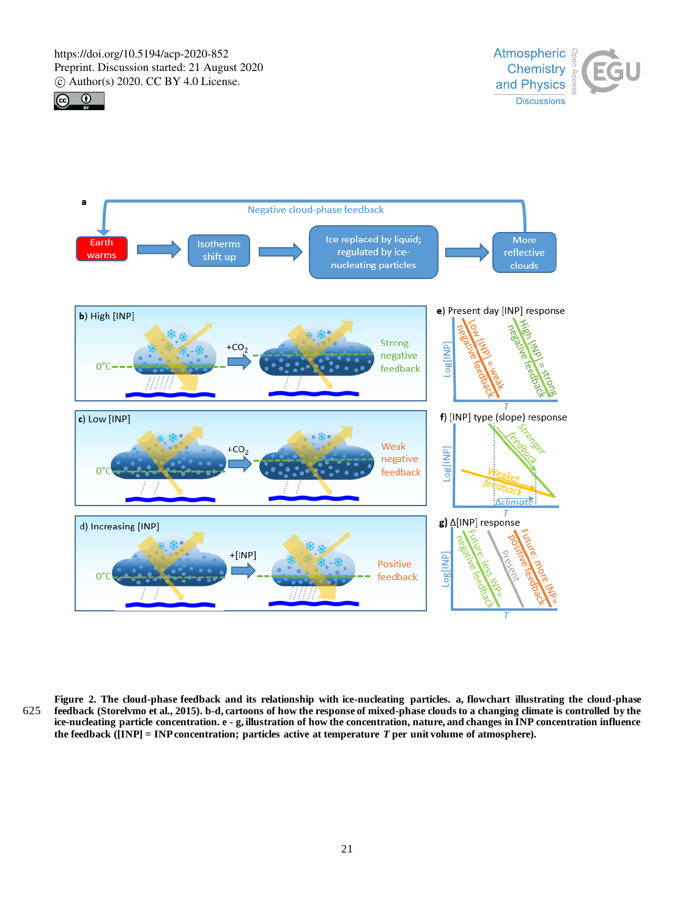





**Figure 2. The cloud-phase feedback and its relationship with ice-nucleating particles. a, flowchart illustrating the cloud-phase**  625 **feedback (Storelvmo et al., 2015). b-d, cartoons of how the response of mixed-phase clouds to a changing climate is controlled by the ice-nucleating particle concentration. e - g, illustration of how the concentration, nature, and changes in INP concentration influence the feedback ([INP] = INP concentration; particles active at temperature** *T* **per unit volume of atmosphere).**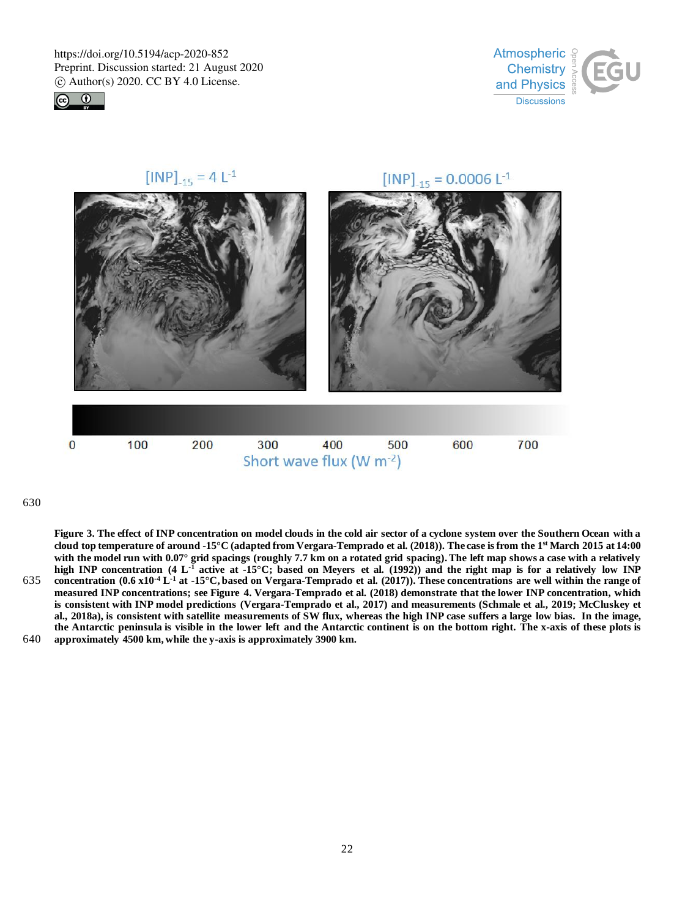



 $[INP]_{-15} = 4 L^{-1}$ [INP]<sub>-15</sub> = 0.0006 L<sup>-1</sup>  $\bf{0}$ 100 200 300 400 600 700 500 Short wave flux (W m-2)

# 630

**Figure 3. The effect of INP concentration on model clouds in the cold air sector of a cyclone system over the Southern Ocean with a cloud top temperature of around -15°C (adapted from Vergara-Temprado et al. (2018)). The case is from the 1st March 2015 at 14:00 with the model run with 0.07° grid spacings (roughly 7.7 km on a rotated grid spacing). The left map shows a case with a relatively high INP concentration (4 L-1 active at -15°C; based on Meyers et al. (1992)) and the right map is for a relatively low INP**  635 concentration  $(0.6 \times 10^{-4} \text{ L}^1)$  at  $-15^{\circ} \text{C}$ , based on Vergara-Temprado et al.  $(2017)$ ). These concentrations are well within the range of **measured INP concentrations; see Figure 4. Vergara-Temprado et al. (2018) demonstrate that the lower INP concentration, which is consistent with INP model predictions (Vergara-Temprado et al., 2017) and measurements (Schmale et al., 2019; McCluskey et al., 2018a), is consistent with satellite measurements of SW flux, whereas the high INP case suffers a large low bias. In the image, the Antarctic peninsula is visible in the lower left and the Antarctic continent is on the bottom right. The x-axis of these plots is**  640 **approximately 4500 km, while the y-axis is approximately 3900 km.**